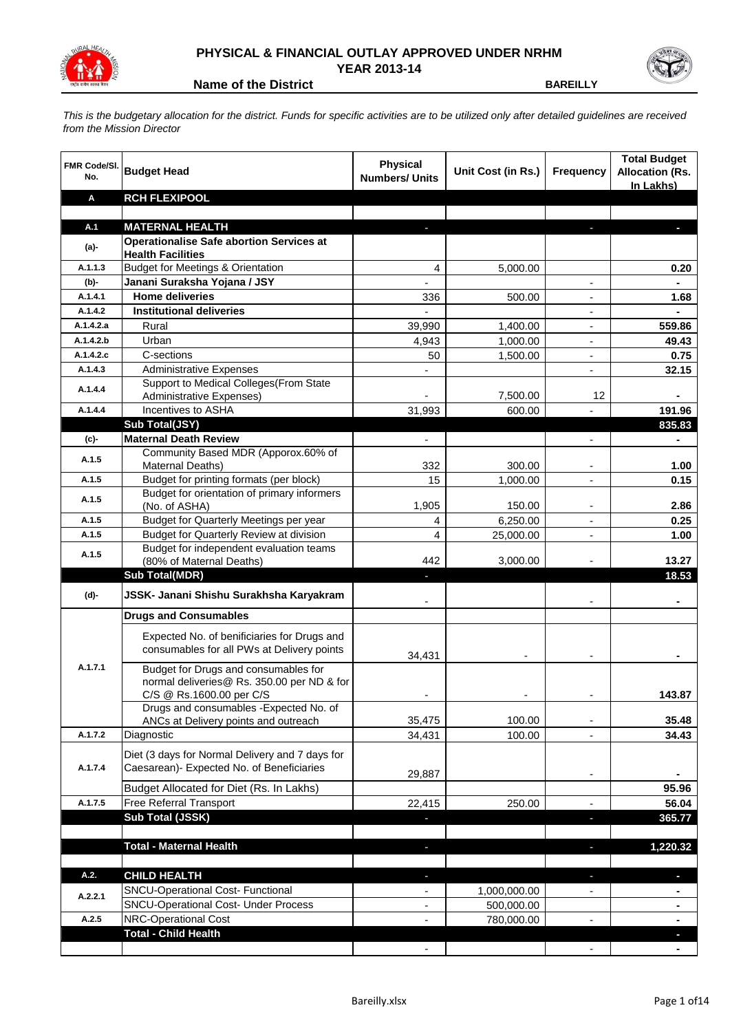

## **PHYSICAL & FINANCIAL OUTLAY APPROVED UNDER NRHM YEAR 2013-14**

**Name of the District <b>BAREILLY** 

*This is the budgetary allocation for the district. Funds for specific activities are to be utilized only after detailed guidelines are received from the Mission Director*

| <b>FMR Code/SI.</b><br>No. | <b>Budget Head</b>                                                                           | <b>Physical</b><br><b>Numbers/ Units</b> | Unit Cost (in Rs.) | <b>Frequency</b>                                     | <b>Total Budget</b><br><b>Allocation (Rs.</b><br>In Lakhs) |
|----------------------------|----------------------------------------------------------------------------------------------|------------------------------------------|--------------------|------------------------------------------------------|------------------------------------------------------------|
| Α                          | <b>RCH FLEXIPOOL</b>                                                                         |                                          |                    |                                                      |                                                            |
|                            |                                                                                              |                                          |                    |                                                      |                                                            |
| A.1                        | <b>MATERNAL HEALTH</b>                                                                       |                                          |                    |                                                      |                                                            |
| (a)-                       | <b>Operationalise Safe abortion Services at</b>                                              |                                          |                    |                                                      |                                                            |
| A.1.1.3                    | <b>Health Facilities</b><br><b>Budget for Meetings &amp; Orientation</b>                     | 4                                        | 5,000.00           |                                                      | 0.20                                                       |
| $(b)-$                     | Janani Suraksha Yojana / JSY                                                                 | L.                                       |                    | $\blacksquare$                                       | $\blacksquare$                                             |
| A.1.4.1                    | <b>Home deliveries</b>                                                                       | 336                                      | 500.00             | $\overline{\phantom{a}}$                             | 1.68                                                       |
| A.1.4.2                    | <b>Institutional deliveries</b>                                                              |                                          |                    | $\overline{\phantom{a}}$                             | ÷.                                                         |
| A.1.4.2.a                  | Rural                                                                                        | 39,990                                   | 1,400.00           | $\overline{\phantom{a}}$                             | 559.86                                                     |
| A.1.4.2.b                  | Urban                                                                                        | 4,943                                    | 1,000.00           | $\overline{\phantom{a}}$                             | 49.43                                                      |
| A.1.4.2.c                  | C-sections                                                                                   | 50                                       | 1,500.00           | $\overline{\phantom{a}}$                             | 0.75                                                       |
| A.1.4.3                    | <b>Administrative Expenses</b>                                                               | $\overline{\phantom{a}}$                 |                    | $\blacksquare$                                       | 32.15                                                      |
|                            | Support to Medical Colleges (From State                                                      |                                          |                    |                                                      |                                                            |
| A.1.4.4                    | Administrative Expenses)                                                                     |                                          | 7,500.00           | 12                                                   |                                                            |
| A.1.4.4                    | Incentives to ASHA                                                                           | 31,993                                   | 600.00             |                                                      | 191.96                                                     |
|                            | Sub Total(JSY)                                                                               |                                          |                    |                                                      | 835.83                                                     |
| (c)                        | <b>Maternal Death Review</b>                                                                 |                                          |                    | $\overline{\phantom{a}}$                             |                                                            |
| A.1.5                      | Community Based MDR (Apporox.60% of                                                          |                                          |                    |                                                      |                                                            |
|                            | <b>Maternal Deaths)</b>                                                                      | 332                                      | 300.00             | $\overline{\phantom{a}}$                             | 1.00                                                       |
| A.1.5                      | Budget for printing formats (per block)                                                      | 15                                       | 1,000.00           | $\overline{\phantom{a}}$                             | 0.15                                                       |
| A.1.5                      | Budget for orientation of primary informers                                                  |                                          |                    |                                                      |                                                            |
| A.1.5                      | (No. of ASHA)                                                                                | 1,905                                    | 150.00<br>6,250.00 |                                                      | 2.86                                                       |
| A.1.5                      | Budget for Quarterly Meetings per year<br>Budget for Quarterly Review at division            | 4<br>4                                   | 25,000.00          | $\overline{\phantom{a}}$<br>$\overline{\phantom{a}}$ | 0.25<br>1.00                                               |
|                            | Budget for independent evaluation teams                                                      |                                          |                    |                                                      |                                                            |
| A.1.5                      | (80% of Maternal Deaths)                                                                     | 442                                      | 3,000.00           |                                                      | 13.27                                                      |
|                            | <b>Sub Total(MDR)</b>                                                                        | ٠                                        |                    |                                                      | 18.53                                                      |
| (d)-                       | JSSK- Janani Shishu Surakhsha Karyakram                                                      |                                          |                    |                                                      |                                                            |
|                            | <b>Drugs and Consumables</b>                                                                 |                                          |                    |                                                      |                                                            |
|                            | Expected No. of benificiaries for Drugs and<br>consumables for all PWs at Delivery points    | 34,431                                   |                    |                                                      |                                                            |
| A.1.7.1                    | Budget for Drugs and consumables for                                                         |                                          |                    |                                                      |                                                            |
|                            | normal deliveries@ Rs. 350.00 per ND & for                                                   |                                          |                    |                                                      |                                                            |
|                            | C/S @ Rs.1600.00 per C/S<br>Drugs and consumables - Expected No. of                          |                                          |                    |                                                      | 143.87                                                     |
|                            | ANCs at Delivery points and outreach                                                         | 35,475                                   | 100.00             |                                                      | 35.48                                                      |
| A.1.7.2                    | Diagnostic                                                                                   | 34,431                                   | 100.00             |                                                      | 34.43                                                      |
|                            |                                                                                              |                                          |                    |                                                      |                                                            |
| A.1.7.4                    | Diet (3 days for Normal Delivery and 7 days for<br>Caesarean)- Expected No. of Beneficiaries |                                          |                    |                                                      |                                                            |
|                            |                                                                                              | 29,887                                   |                    | $\overline{\phantom{a}}$                             | ٠                                                          |
|                            | Budget Allocated for Diet (Rs. In Lakhs)                                                     |                                          |                    |                                                      | 95.96                                                      |
| A.1.7.5                    | Free Referral Transport                                                                      | 22,415                                   | 250.00             | $\overline{\phantom{a}}$                             | 56.04                                                      |
|                            | <b>Sub Total (JSSK)</b>                                                                      | ٠                                        |                    | J,                                                   | 365.77                                                     |
|                            |                                                                                              |                                          |                    |                                                      |                                                            |
|                            | <b>Total - Maternal Health</b>                                                               | ٠                                        |                    | J,                                                   | 1,220.32                                                   |
| A.2.                       | <b>CHILD HEALTH</b>                                                                          | ٠                                        |                    | o,                                                   | ٠                                                          |
| A.2.2.1                    | <b>SNCU-Operational Cost- Functional</b>                                                     | $\blacksquare$                           | 1,000,000.00       |                                                      |                                                            |
|                            | <b>SNCU-Operational Cost- Under Process</b>                                                  | $\qquad \qquad \blacksquare$             | 500,000.00         |                                                      | ۰                                                          |
| A.2.5                      | NRC-Operational Cost                                                                         |                                          | 780,000.00         |                                                      | ۰                                                          |
|                            | <b>Total - Child Health</b>                                                                  |                                          |                    |                                                      |                                                            |
|                            |                                                                                              | $\overline{\phantom{a}}$                 |                    |                                                      | ۰                                                          |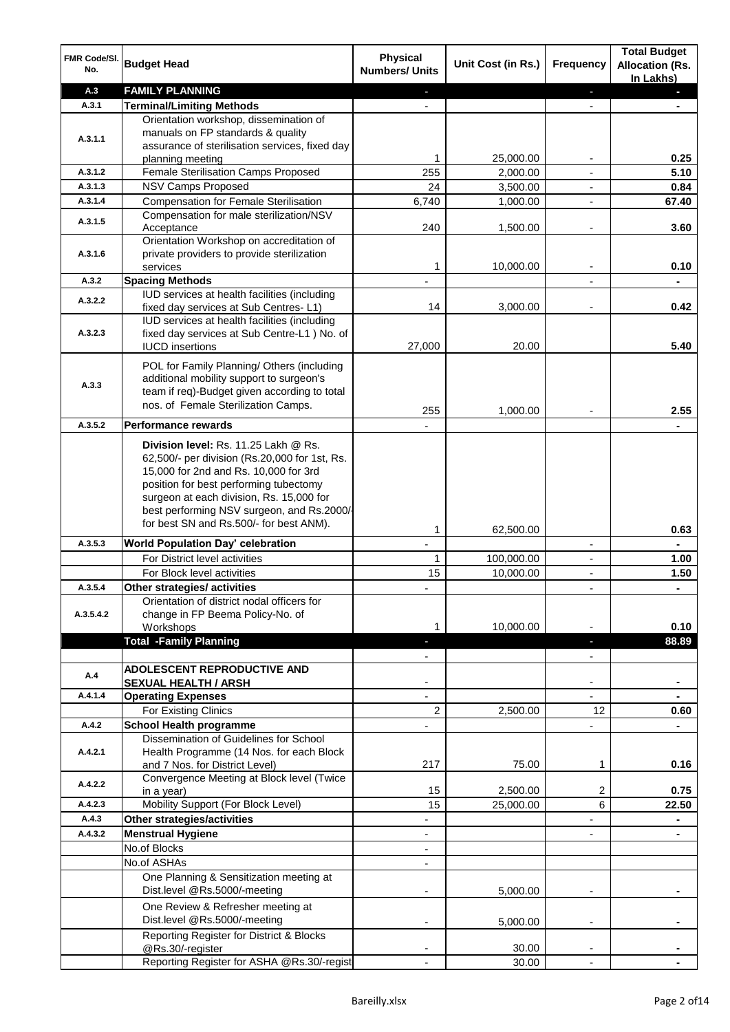| FMR Code/SI.<br>No. | <b>Budget Head</b>                                                                                                                                                                                                                                                                                            | <b>Physical</b><br><b>Numbers/ Units</b> | Unit Cost (in Rs.) | Frequency                     | <b>Total Budget</b><br><b>Allocation (Rs.</b><br>In Lakhs) |
|---------------------|---------------------------------------------------------------------------------------------------------------------------------------------------------------------------------------------------------------------------------------------------------------------------------------------------------------|------------------------------------------|--------------------|-------------------------------|------------------------------------------------------------|
| A.3                 | <b>FAMILY PLANNING</b>                                                                                                                                                                                                                                                                                        | E.                                       |                    | $\blacksquare$                | $\blacksquare$                                             |
| A.3.1               | <b>Terminal/Limiting Methods</b>                                                                                                                                                                                                                                                                              |                                          |                    |                               |                                                            |
| A.3.1.1             | Orientation workshop, dissemination of<br>manuals on FP standards & quality<br>assurance of sterilisation services, fixed day                                                                                                                                                                                 |                                          |                    |                               | 0.25                                                       |
| A.3.1.2             | planning meeting<br>Female Sterilisation Camps Proposed                                                                                                                                                                                                                                                       | 1                                        | 25,000.00          | ۰                             |                                                            |
|                     |                                                                                                                                                                                                                                                                                                               | 255                                      | 2,000.00           | $\overline{\phantom{a}}$      | 5.10                                                       |
| A.3.1.3             | NSV Camps Proposed                                                                                                                                                                                                                                                                                            | 24                                       | 3,500.00           | $\overline{\phantom{a}}$      | 0.84                                                       |
| A.3.1.4             | <b>Compensation for Female Sterilisation</b>                                                                                                                                                                                                                                                                  | 6,740                                    | 1,000.00           | $\blacksquare$                | 67.40                                                      |
| A.3.1.5             | Compensation for male sterilization/NSV<br>Acceptance                                                                                                                                                                                                                                                         | 240                                      | 1,500.00           | ٠                             | 3.60                                                       |
| A.3.1.6             | Orientation Workshop on accreditation of<br>private providers to provide sterilization<br>services                                                                                                                                                                                                            | 1                                        | 10,000.00          |                               | 0.10                                                       |
| A.3.2               | <b>Spacing Methods</b>                                                                                                                                                                                                                                                                                        |                                          |                    |                               |                                                            |
|                     | IUD services at health facilities (including                                                                                                                                                                                                                                                                  |                                          |                    |                               |                                                            |
| A.3.2.2             | fixed day services at Sub Centres-L1)<br>IUD services at health facilities (including                                                                                                                                                                                                                         | 14                                       | 3,000.00           |                               | 0.42                                                       |
| A.3.2.3             | fixed day services at Sub Centre-L1 ) No. of<br><b>IUCD</b> insertions                                                                                                                                                                                                                                        | 27,000                                   | 20.00              |                               | 5.40                                                       |
| A.3.3               | POL for Family Planning/ Others (including<br>additional mobility support to surgeon's<br>team if req)-Budget given according to total<br>nos. of Female Sterilization Camps.                                                                                                                                 | 255                                      | 1,000.00           |                               | 2.55                                                       |
| A.3.5.2             | <b>Performance rewards</b>                                                                                                                                                                                                                                                                                    |                                          |                    |                               |                                                            |
|                     | Division level: Rs. 11.25 Lakh @ Rs.<br>62,500/- per division (Rs.20,000 for 1st, Rs.<br>15,000 for 2nd and Rs. 10,000 for 3rd<br>position for best performing tubectomy<br>surgeon at each division, Rs. 15,000 for<br>best performing NSV surgeon, and Rs.2000/-<br>for best SN and Rs.500/- for best ANM). |                                          |                    |                               |                                                            |
| A.3.5.3             | World Population Day' celebration                                                                                                                                                                                                                                                                             | 1                                        | 62,500.00          | $\overline{\phantom{a}}$      | 0.63                                                       |
|                     | For District level activities                                                                                                                                                                                                                                                                                 | 1                                        | 100,000.00         | ٠                             | 1.00                                                       |
|                     | For Block level activities                                                                                                                                                                                                                                                                                    | 15                                       | 10,000.00          | L,                            | 1.50                                                       |
| A.3.5.4             | Other strategies/ activities                                                                                                                                                                                                                                                                                  | ٠                                        |                    | $\overline{\phantom{a}}$      | $\blacksquare$                                             |
| A.3.5.4.2           | Orientation of district nodal officers for<br>change in FP Beema Policy-No. of<br>Workshops<br><b>Total -Family Planning</b>                                                                                                                                                                                  | 1                                        | 10,000.00          |                               | 0.10<br>88.89                                              |
|                     |                                                                                                                                                                                                                                                                                                               | н                                        |                    | ٠                             |                                                            |
| A.4                 | <b>ADOLESCENT REPRODUCTIVE AND</b><br><b>SEXUAL HEALTH / ARSH</b>                                                                                                                                                                                                                                             |                                          |                    | $\overline{\phantom{0}}$<br>۰ |                                                            |
| A.4.1.4             | <b>Operating Expenses</b>                                                                                                                                                                                                                                                                                     | L.                                       |                    | $\overline{\phantom{0}}$      |                                                            |
|                     | For Existing Clinics                                                                                                                                                                                                                                                                                          | $\overline{c}$                           | 2,500.00           | 12                            | 0.60                                                       |
| A.4.2               | <b>School Health programme</b>                                                                                                                                                                                                                                                                                |                                          |                    | ÷,                            |                                                            |
| A.4.2.1             | Dissemination of Guidelines for School<br>Health Programme (14 Nos. for each Block                                                                                                                                                                                                                            |                                          |                    |                               |                                                            |
|                     | and 7 Nos. for District Level)<br>Convergence Meeting at Block level (Twice                                                                                                                                                                                                                                   | 217                                      | 75.00              | 1                             | 0.16                                                       |
| A.4.2.2             | in a year)                                                                                                                                                                                                                                                                                                    | 15                                       | 2,500.00           | 2                             | 0.75                                                       |
| A.4.2.3             | Mobility Support (For Block Level)                                                                                                                                                                                                                                                                            | 15                                       | 25,000.00          | 6                             | 22.50                                                      |
| A.4.3               | Other strategies/activities                                                                                                                                                                                                                                                                                   | $\overline{\phantom{0}}$                 |                    | $\overline{\phantom{0}}$      | $\blacksquare$                                             |
| A.4.3.2             | <b>Menstrual Hygiene</b>                                                                                                                                                                                                                                                                                      | $\overline{\phantom{a}}$                 |                    | ÷,                            | ۰                                                          |
|                     | No.of Blocks                                                                                                                                                                                                                                                                                                  | $\blacksquare$                           |                    |                               |                                                            |
|                     |                                                                                                                                                                                                                                                                                                               |                                          |                    |                               |                                                            |
|                     | No.of ASHAs<br>One Planning & Sensitization meeting at                                                                                                                                                                                                                                                        | $\overline{\phantom{a}}$                 |                    |                               |                                                            |
|                     | Dist.level @Rs.5000/-meeting<br>One Review & Refresher meeting at                                                                                                                                                                                                                                             |                                          | 5,000.00           |                               |                                                            |
|                     | Dist.level @Rs.5000/-meeting<br>Reporting Register for District & Blocks                                                                                                                                                                                                                                      | $\overline{\phantom{a}}$                 | 5,000.00           | ٠                             |                                                            |
|                     | @Rs.30/-register                                                                                                                                                                                                                                                                                              |                                          | 30.00              |                               |                                                            |
|                     | Reporting Register for ASHA @Rs.30/-regist                                                                                                                                                                                                                                                                    |                                          | 30.00              |                               |                                                            |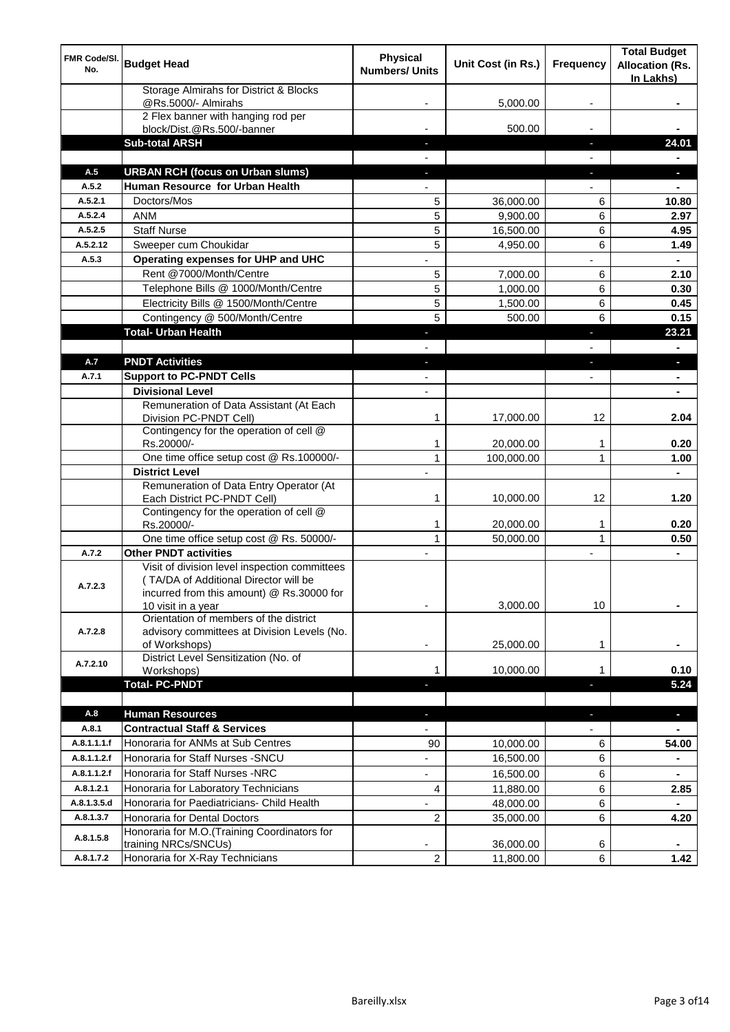| FMR Code/SI.<br>No. | <b>Budget Head</b>                                                                                                                  | <b>Physical</b><br><b>Numbers/ Units</b> | Unit Cost (in Rs.) | <b>Frequency</b>         | <b>Total Budget</b><br><b>Allocation (Rs.</b><br>In Lakhs) |
|---------------------|-------------------------------------------------------------------------------------------------------------------------------------|------------------------------------------|--------------------|--------------------------|------------------------------------------------------------|
|                     | Storage Almirahs for District & Blocks<br>@Rs.5000/- Almirahs                                                                       |                                          | 5,000.00           |                          |                                                            |
|                     | 2 Flex banner with hanging rod per<br>block/Dist.@Rs.500/-banner                                                                    |                                          | 500.00             |                          |                                                            |
|                     | <b>Sub-total ARSH</b>                                                                                                               |                                          |                    | ٠                        | 24.01                                                      |
|                     |                                                                                                                                     |                                          |                    |                          |                                                            |
| A.5                 | <b>URBAN RCH (focus on Urban slums)</b>                                                                                             |                                          |                    | ٠                        |                                                            |
| A.5.2               | Human Resource for Urban Health                                                                                                     | $\blacksquare$                           |                    | $\overline{\phantom{0}}$ | $\blacksquare$                                             |
| A.5.2.1             | Doctors/Mos                                                                                                                         | 5                                        | 36,000.00          | 6                        | 10.80                                                      |
| A.5.2.4             | <b>ANM</b>                                                                                                                          | 5                                        | 9,900.00           | 6                        | 2.97                                                       |
| A.5.2.5             | <b>Staff Nurse</b>                                                                                                                  | 5                                        | 16,500.00          | 6                        | 4.95                                                       |
| A.5.2.12            | Sweeper cum Choukidar                                                                                                               | 5                                        | 4,950.00           | 6                        | 1.49                                                       |
| A.5.3               | Operating expenses for UHP and UHC                                                                                                  |                                          |                    | $\overline{a}$           | $\blacksquare$                                             |
|                     | Rent @7000/Month/Centre                                                                                                             | 5                                        | 7,000.00           | 6                        | 2.10                                                       |
|                     | Telephone Bills @ 1000/Month/Centre                                                                                                 | 5                                        | 1,000.00           | 6                        | 0.30                                                       |
|                     | Electricity Bills @ 1500/Month/Centre                                                                                               | 5                                        | 1,500.00           | 6                        | 0.45                                                       |
|                     | Contingency @ 500/Month/Centre                                                                                                      | 5                                        | 500.00             | 6                        | 0.15                                                       |
|                     | <b>Total- Urban Health</b>                                                                                                          | ٠                                        |                    | ٠                        | 23.21                                                      |
|                     |                                                                                                                                     |                                          |                    |                          | $\blacksquare$                                             |
| A.7                 | <b>PNDT Activities</b>                                                                                                              | ٠                                        |                    | $\blacksquare$           | $\blacksquare$                                             |
| A.7.1               | <b>Support to PC-PNDT Cells</b>                                                                                                     | $\overline{\phantom{a}}$                 |                    | $\overline{\phantom{a}}$ | $\blacksquare$                                             |
|                     | <b>Divisional Level</b>                                                                                                             | $\overline{\phantom{a}}$                 |                    |                          | $\blacksquare$                                             |
|                     | Remuneration of Data Assistant (At Each<br>Division PC-PNDT Cell)                                                                   | 1                                        | 17,000.00          | 12                       | 2.04                                                       |
|                     | Contingency for the operation of cell @<br>Rs.20000/-                                                                               | 1                                        | 20,000.00          | $\mathbf 1$              | 0.20                                                       |
|                     | One time office setup cost @ Rs.100000/-                                                                                            | 1                                        | 100,000.00         | 1                        | 1.00                                                       |
|                     | <b>District Level</b>                                                                                                               | $\overline{\phantom{0}}$                 |                    |                          | $\blacksquare$                                             |
|                     | Remuneration of Data Entry Operator (At<br>Each District PC-PNDT Cell)                                                              | 1                                        | 10,000.00          | 12                       | 1.20                                                       |
|                     | Contingency for the operation of cell @<br>Rs.20000/-                                                                               | 1                                        | 20,000.00          | 1                        | 0.20                                                       |
|                     | One time office setup cost @ Rs. 50000/-                                                                                            | $\mathbf{1}$                             | 50,000.00          | $\mathbf{1}$             | 0.50                                                       |
| A.7.2               | <b>Other PNDT activities</b>                                                                                                        | $\overline{\phantom{a}}$                 |                    | $\overline{\phantom{a}}$ | $\blacksquare$                                             |
| A.7.2.3             | Visit of division level inspection committees<br>(TA/DA of Additional Director will be<br>incurred from this amount) @ Rs.30000 for |                                          |                    |                          |                                                            |
| A.7.2.8             | 10 visit in a year<br>Orientation of members of the district<br>advisory committees at Division Levels (No.                         | ٠                                        | 3,000.00           | 10                       | ۰                                                          |
|                     | of Workshops)<br>District Level Sensitization (No. of                                                                               |                                          | 25,000.00          | 1                        |                                                            |
| A.7.2.10            | Workshops)                                                                                                                          | 1                                        | 10,000.00          | 1                        | 0.10                                                       |
|                     | <b>Total-PC-PNDT</b>                                                                                                                |                                          |                    | Ξ                        | 5.24                                                       |
|                     |                                                                                                                                     |                                          |                    |                          |                                                            |
| A.8                 | <b>Human Resources</b>                                                                                                              | ٠                                        |                    | $\blacksquare$           | Ξ                                                          |
| A.8.1               | <b>Contractual Staff &amp; Services</b>                                                                                             | $\overline{\phantom{a}}$                 |                    |                          |                                                            |
| A.8.1.1.1.f         | Honoraria for ANMs at Sub Centres                                                                                                   | 90                                       | 10,000.00          | 6                        | 54.00                                                      |
| A.8.1.1.2.f         | Honoraria for Staff Nurses - SNCU                                                                                                   | $\overline{\phantom{0}}$                 | 16,500.00          | 6                        | $\blacksquare$                                             |
| A.8.1.1.2.f         | Honoraria for Staff Nurses -NRC                                                                                                     | $\overline{\phantom{0}}$                 | 16,500.00          | 6                        | ۰                                                          |
| A.8.1.2.1           | Honoraria for Laboratory Technicians                                                                                                | 4                                        | 11,880.00          | 6                        | 2.85                                                       |
| A.8.1.3.5.d         | Honoraria for Paediatricians- Child Health                                                                                          | $\overline{\phantom{a}}$                 | 48,000.00          | 6                        | $\blacksquare$                                             |
| A.8.1.3.7           | Honoraria for Dental Doctors                                                                                                        | 2                                        | 35,000.00          | 6                        | 4.20                                                       |
| A.8.1.5.8           | Honoraria for M.O.(Training Coordinators for<br>training NRCs/SNCUs)                                                                |                                          | 36,000.00          | 6                        |                                                            |
| A.8.1.7.2           | Honoraria for X-Ray Technicians                                                                                                     | 2                                        | 11,800.00          | $6\phantom{1}$           | 1.42                                                       |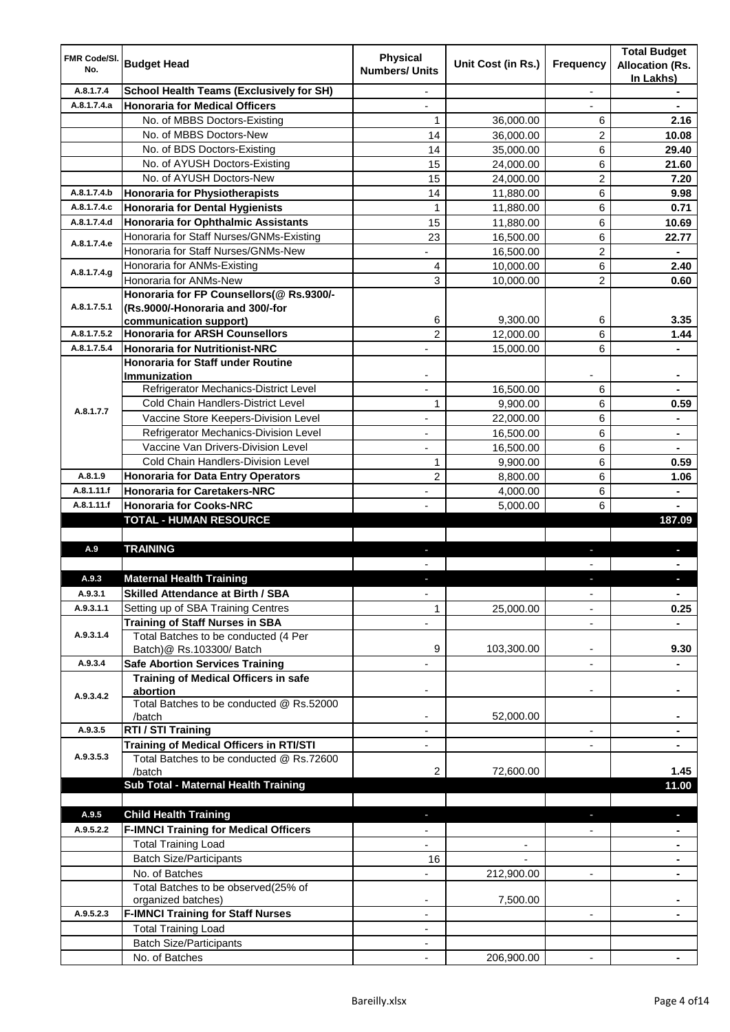| FMR Code/SI.<br>No. | <b>Budget Head</b>                                              | <b>Physical</b><br><b>Numbers/ Units</b> | Unit Cost (in Rs.) | Frequency                | <b>Total Budget</b><br><b>Allocation (Rs.</b><br>In Lakhs) |
|---------------------|-----------------------------------------------------------------|------------------------------------------|--------------------|--------------------------|------------------------------------------------------------|
| A.8.1.7.4           | <b>School Health Teams (Exclusively for SH)</b>                 |                                          |                    |                          |                                                            |
| A.8.1.7.4.a         | <b>Honoraria for Medical Officers</b>                           |                                          |                    |                          |                                                            |
|                     | No. of MBBS Doctors-Existing                                    | 1                                        | 36,000.00          | 6                        | 2.16                                                       |
|                     | No. of MBBS Doctors-New                                         | 14                                       | 36,000.00          | $\overline{c}$           | 10.08                                                      |
|                     | No. of BDS Doctors-Existing                                     | 14                                       | 35,000.00          | 6                        | 29.40                                                      |
|                     | No. of AYUSH Doctors-Existing                                   | 15                                       | 24,000.00          | 6                        | 21.60                                                      |
|                     | No. of AYUSH Doctors-New                                        | 15                                       | 24,000.00          | 2                        | 7.20                                                       |
| A.8.1.7.4.b         | <b>Honoraria for Physiotherapists</b>                           | 14                                       | 11,880.00          | 6                        | 9.98                                                       |
| A.8.1.7.4.c         | <b>Honoraria for Dental Hygienists</b>                          | 1                                        | 11,880.00          | 6                        | 0.71                                                       |
| A.8.1.7.4.d         | Honoraria for Ophthalmic Assistants                             | 15                                       | 11,880.00          | 6                        | 10.69                                                      |
| A.8.1.7.4.e         | Honoraria for Staff Nurses/GNMs-Existing                        | 23                                       | 16,500.00          | 6                        | 22.77                                                      |
|                     | Honoraria for Staff Nurses/GNMs-New                             | $\overline{\phantom{0}}$                 | 16,500.00          | $\overline{2}$           | ٠                                                          |
| A.8.1.7.4.g         | Honoraria for ANMs-Existing                                     | 4                                        | 10,000.00          | 6                        | 2.40                                                       |
|                     | Honoraria for ANMs-New                                          | 3                                        | 10,000.00          | $\overline{2}$           | 0.60                                                       |
|                     | Honoraria for FP Counsellors(@ Rs.9300/-                        |                                          |                    |                          |                                                            |
| A.8.1.7.5.1         | (Rs.9000/-Honoraria and 300/-for                                | 6                                        | 9.300.00           | 6                        | 3.35                                                       |
| A.8.1.7.5.2         | communication support)<br><b>Honoraria for ARSH Counsellors</b> | $\overline{c}$                           | 12,000.00          | 6                        | 1.44                                                       |
| A.8.1.7.5.4         | <b>Honoraria for Nutritionist-NRC</b>                           |                                          |                    | 6                        |                                                            |
|                     | Honoraria for Staff under Routine                               |                                          | 15,000.00          |                          |                                                            |
|                     | <b>Immunization</b>                                             |                                          |                    |                          |                                                            |
|                     | Refrigerator Mechanics-District Level                           | ÷,                                       | 16,500.00          | 6                        |                                                            |
|                     | <b>Cold Chain Handlers-District Level</b>                       | 1                                        | 9,900.00           | 6                        | 0.59                                                       |
| A.8.1.7.7           | Vaccine Store Keepers-Division Level                            |                                          | 22,000.00          | $\,6\,$                  | ÷.                                                         |
|                     | Refrigerator Mechanics-Division Level                           |                                          | 16,500.00          | $\,6\,$                  | ٠                                                          |
|                     | Vaccine Van Drivers-Division Level                              |                                          | 16,500.00          | $\,6\,$                  |                                                            |
|                     | Cold Chain Handlers-Division Level                              | 1                                        | 9,900.00           | 6                        | 0.59                                                       |
| A.8.1.9             | <b>Honoraria for Data Entry Operators</b>                       | $\overline{c}$                           | 8,800.00           | 6                        | 1.06                                                       |
| A.8.1.11.f          | <b>Honoraria for Caretakers-NRC</b>                             |                                          | 4,000.00           | 6                        |                                                            |
| A.8.1.11.f          | <b>Honoraria for Cooks-NRC</b>                                  |                                          | 5,000.00           | 6                        |                                                            |
|                     | <b>TOTAL - HUMAN RESOURCE</b>                                   |                                          |                    |                          | 187.09                                                     |
|                     |                                                                 |                                          |                    |                          |                                                            |
| A.9                 | <b>TRAINING</b>                                                 |                                          |                    |                          |                                                            |
|                     |                                                                 |                                          |                    |                          |                                                            |
| A.9.3               | <b>Maternal Health Training</b>                                 |                                          |                    |                          |                                                            |
| A.Y.3.1             | <b>Skilled Attendance at Birth / SBA</b>                        |                                          |                    |                          |                                                            |
| A.9.3.1.1           | Setting up of SBA Training Centres                              | $\mathbf{1}$                             | 25,000.00          |                          | 0.25                                                       |
|                     | <b>Training of Staff Nurses in SBA</b>                          |                                          |                    |                          |                                                            |
| A.9.3.1.4           | Total Batches to be conducted (4 Per                            |                                          |                    |                          |                                                            |
|                     | Batch) @ Rs.103300/ Batch                                       | 9                                        | 103,300.00         | ÷                        | 9.30                                                       |
| A.9.3.4             | <b>Safe Abortion Services Training</b>                          |                                          |                    | $\overline{\phantom{0}}$ |                                                            |
|                     | <b>Training of Medical Officers in safe</b>                     |                                          |                    |                          |                                                            |
| A.9.3.4.2           | abortion                                                        | -                                        |                    | -                        | ۰                                                          |
|                     | Total Batches to be conducted @ Rs.52000<br>/batch              |                                          | 52,000.00          |                          |                                                            |
| A.9.3.5             | RTI / STI Training                                              |                                          |                    | $\overline{\phantom{0}}$ |                                                            |
|                     | Training of Medical Officers in RTI/STI                         |                                          |                    |                          |                                                            |
| A.9.3.5.3           | Total Batches to be conducted @ Rs.72600                        |                                          |                    |                          |                                                            |
|                     | /batch                                                          | 2                                        | 72,600.00          |                          | 1.45                                                       |
|                     | Sub Total - Maternal Health Training                            |                                          |                    |                          | 11.00                                                      |
|                     |                                                                 |                                          |                    |                          |                                                            |
| A.9.5               | <b>Child Health Training</b>                                    |                                          |                    |                          |                                                            |
| A.9.5.2.2           | <b>F-IMNCI Training for Medical Officers</b>                    |                                          |                    |                          | $\blacksquare$                                             |
|                     | <b>Total Training Load</b>                                      |                                          |                    |                          |                                                            |
|                     | <b>Batch Size/Participants</b>                                  | 16                                       |                    |                          |                                                            |
|                     | No. of Batches                                                  |                                          | 212,900.00         |                          |                                                            |
|                     | Total Batches to be observed(25% of                             |                                          |                    |                          |                                                            |
|                     | organized batches)                                              |                                          | 7,500.00           |                          |                                                            |
| A.9.5.2.3           | <b>F-IMNCI Training for Staff Nurses</b>                        | ٠                                        |                    | $\overline{\phantom{0}}$ |                                                            |
|                     | <b>Total Training Load</b>                                      | ٠                                        |                    |                          |                                                            |
|                     | <b>Batch Size/Participants</b>                                  |                                          |                    |                          |                                                            |
|                     | No. of Batches                                                  | $\blacksquare$                           | 206,900.00         | $\blacksquare$           |                                                            |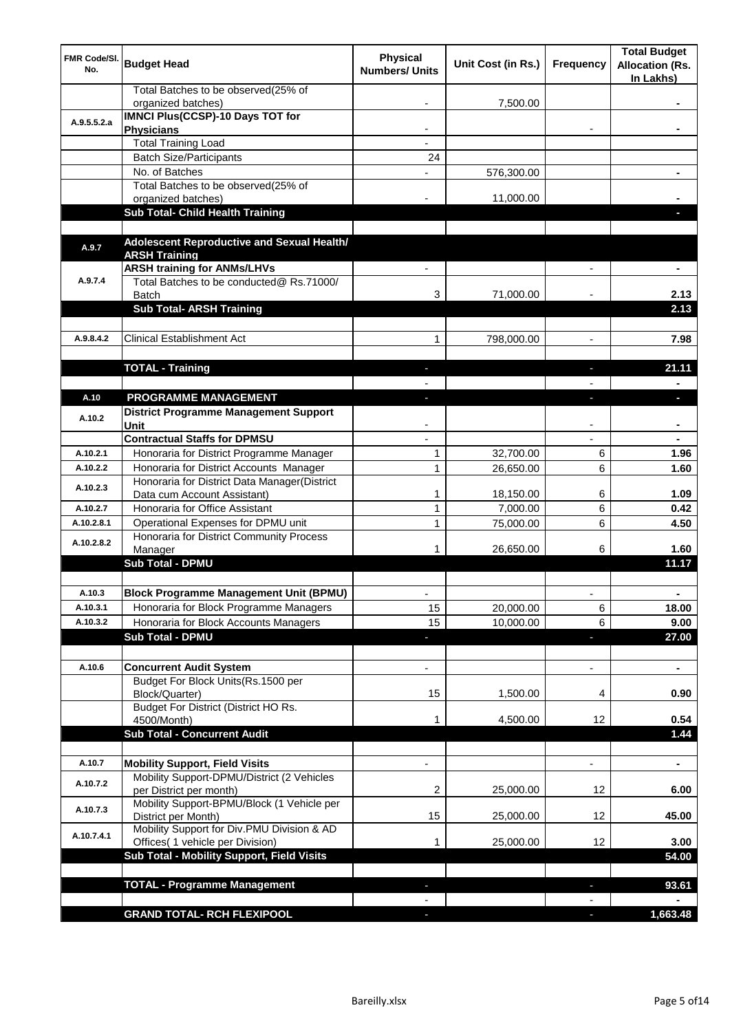| FMR Code/SI.<br>No. | <b>Budget Head</b>                                                             | <b>Physical</b><br><b>Numbers/ Units</b> | Unit Cost (in Rs.) | <b>Frequency</b>         | <b>Total Budget</b><br><b>Allocation (Rs.</b><br>In Lakhs) |
|---------------------|--------------------------------------------------------------------------------|------------------------------------------|--------------------|--------------------------|------------------------------------------------------------|
|                     | Total Batches to be observed(25% of<br>organized batches)                      |                                          | 7,500.00           |                          |                                                            |
| A.9.5.5.2.a         | <b>IMNCI Plus(CCSP)-10 Days TOT for</b><br><b>Physicians</b>                   |                                          |                    |                          |                                                            |
|                     | <b>Total Training Load</b>                                                     |                                          |                    |                          |                                                            |
|                     | <b>Batch Size/Participants</b>                                                 | 24                                       |                    |                          |                                                            |
|                     | No. of Batches                                                                 |                                          | 576,300.00         |                          |                                                            |
|                     | Total Batches to be observed(25% of                                            |                                          |                    |                          |                                                            |
|                     | organized batches)                                                             |                                          | 11,000.00          |                          |                                                            |
|                     | <b>Sub Total- Child Health Training</b>                                        |                                          |                    |                          |                                                            |
| A.9.7               | Adolescent Reproductive and Sexual Health/<br><b>ARSH Training</b>             |                                          |                    |                          |                                                            |
| A.9.7.4             | <b>ARSH training for ANMs/LHVs</b><br>Total Batches to be conducted@ Rs.71000/ |                                          |                    |                          |                                                            |
|                     | <b>Batch</b>                                                                   | 3                                        | 71,000.00          |                          | 2.13                                                       |
|                     | <b>Sub Total- ARSH Training</b>                                                |                                          |                    |                          | 2.13                                                       |
| A.9.8.4.2           | <b>Clinical Establishment Act</b>                                              |                                          |                    |                          |                                                            |
|                     |                                                                                | 1                                        | 798,000.00         | $\overline{\phantom{a}}$ | 7.98                                                       |
|                     | <b>TOTAL - Training</b>                                                        | ٠                                        |                    | ٠                        | 21.11                                                      |
|                     |                                                                                |                                          |                    |                          |                                                            |
| A.10                | <b>PROGRAMME MANAGEMENT</b>                                                    | L.                                       |                    | ı                        | п                                                          |
| A.10.2              | District Programme Management Support<br>Unit                                  |                                          |                    |                          |                                                            |
|                     | <b>Contractual Staffs for DPMSU</b>                                            |                                          |                    |                          |                                                            |
| A.10.2.1            | Honoraria for District Programme Manager                                       | 1                                        | 32,700.00          | 6                        | 1.96                                                       |
| A.10.2.2            | Honoraria for District Accounts Manager                                        | 1                                        | 26,650.00          | 6                        | 1.60                                                       |
|                     | Honoraria for District Data Manager(District                                   |                                          |                    |                          |                                                            |
| A.10.2.3            | Data cum Account Assistant)                                                    | 1                                        | 18,150.00          | 6                        | 1.09                                                       |
| A.10.2.7            | Honoraria for Office Assistant                                                 | 1                                        | 7,000.00           | 6                        | 0.42                                                       |
| A.10.2.8.1          | Operational Expenses for DPMU unit                                             | 1                                        | 75,000.00          | 6                        | 4.50                                                       |
| A.10.2.8.2          | Honoraria for District Community Process<br>Manager<br><b>Sub Total - DPMU</b> |                                          | 26,650.00          | 6                        | 1.60<br>11.17                                              |
|                     |                                                                                |                                          |                    |                          |                                                            |
| A.10.3              | <b>Block Programme Management Unit (BPMU)</b>                                  |                                          |                    |                          |                                                            |
| A.10.3.1            | Honoraria for Block Programme Managers                                         | 15                                       | 20,000.00          | 6                        | 18.00                                                      |
| A.10.3.2            | Honoraria for Block Accounts Managers                                          | 15                                       | 10,000.00          | 6                        | 9.00                                                       |
|                     | <b>Sub Total - DPMU</b>                                                        | E.                                       |                    | ä,                       | 27.00                                                      |
|                     |                                                                                |                                          |                    |                          |                                                            |
| A.10.6              | <b>Concurrent Audit System</b><br>Budget For Block Units(Rs.1500 per           |                                          |                    | ۰                        | $\blacksquare$                                             |
|                     | Block/Quarter)                                                                 | 15                                       | 1,500.00           | 4                        | 0.90                                                       |
|                     | Budget For District (District HO Rs.<br>4500/Month)                            | 1                                        | 4,500.00           | 12                       | 0.54                                                       |
|                     | <b>Sub Total - Concurrent Audit</b>                                            |                                          |                    |                          | 1.44                                                       |
|                     |                                                                                |                                          |                    |                          |                                                            |
| A.10.7              | <b>Mobility Support, Field Visits</b>                                          |                                          |                    |                          | $\blacksquare$                                             |
| A.10.7.2            | Mobility Support-DPMU/District (2 Vehicles<br>per District per month)          | 2                                        | 25,000.00          | 12                       | 6.00                                                       |
| A.10.7.3            | Mobility Support-BPMU/Block (1 Vehicle per<br>District per Month)              | 15                                       | 25,000.00          | 12                       | 45.00                                                      |
| A.10.7.4.1          | Mobility Support for Div.PMU Division & AD<br>Offices( 1 vehicle per Division) | 1                                        | 25,000.00          | 12 <sup>°</sup>          | 3.00                                                       |
|                     | Sub Total - Mobility Support, Field Visits                                     |                                          |                    |                          | 54.00                                                      |
|                     |                                                                                |                                          |                    |                          |                                                            |
|                     | <b>TOTAL - Programme Management</b>                                            |                                          |                    | L                        | 93.61                                                      |
|                     |                                                                                |                                          |                    |                          |                                                            |
|                     | <b>GRAND TOTAL- RCH FLEXIPOOL</b>                                              |                                          |                    | ÷                        | 1,663.48                                                   |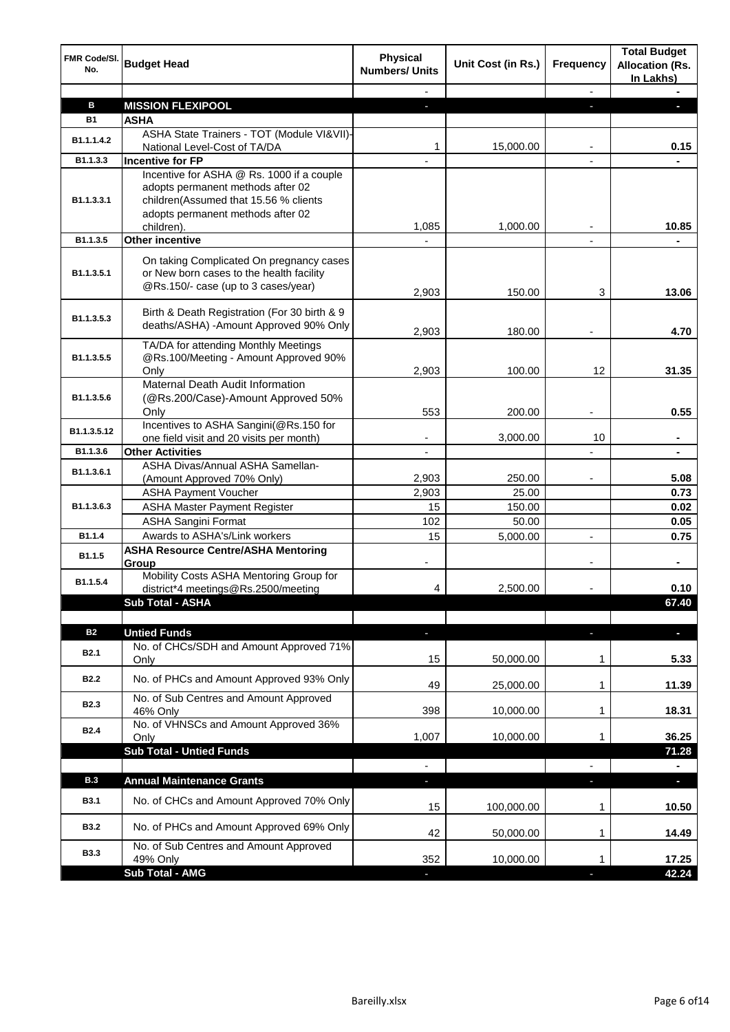| <b>FMR Code/SI.</b><br>No. | <b>Budget Head</b>                                                                                                                                                         | <b>Physical</b><br><b>Numbers/ Units</b> | Unit Cost (in Rs.) | <b>Frequency</b> | <b>Total Budget</b><br><b>Allocation (Rs.</b><br>In Lakhs) |
|----------------------------|----------------------------------------------------------------------------------------------------------------------------------------------------------------------------|------------------------------------------|--------------------|------------------|------------------------------------------------------------|
|                            |                                                                                                                                                                            |                                          |                    | $\blacksquare$   |                                                            |
| в                          | <b>MISSION FLEXIPOOL</b>                                                                                                                                                   | ٠                                        |                    |                  |                                                            |
| <b>B1</b>                  | <b>ASHA</b>                                                                                                                                                                |                                          |                    |                  |                                                            |
| B1.1.1.4.2                 | ASHA State Trainers - TOT (Module VI&VII)-<br>National Level-Cost of TA/DA                                                                                                 | 1                                        | 15,000.00          |                  | 0.15                                                       |
| B1.1.3.3                   | <b>Incentive for FP</b>                                                                                                                                                    |                                          |                    |                  |                                                            |
| B <sub>1.1</sub> .3.3.1    | Incentive for ASHA @ Rs. 1000 if a couple<br>adopts permanent methods after 02<br>children(Assumed that 15.56 % clients<br>adopts permanent methods after 02<br>children). | 1,085                                    | 1,000.00           |                  | 10.85                                                      |
| B1.1.3.5                   | <b>Other incentive</b>                                                                                                                                                     |                                          |                    |                  |                                                            |
| B1.1.3.5.1                 | On taking Complicated On pregnancy cases<br>or New born cases to the health facility<br>@Rs.150/- case (up to 3 cases/year)                                                | 2,903                                    | 150.00             | 3                | 13.06                                                      |
| B1.1.3.5.3                 | Birth & Death Registration (For 30 birth & 9<br>deaths/ASHA) - Amount Approved 90% Only                                                                                    | 2,903                                    | 180.00             |                  | 4.70                                                       |
| B1.1.3.5.5                 | TA/DA for attending Monthly Meetings<br>@Rs.100/Meeting - Amount Approved 90%<br>Only                                                                                      | 2,903                                    | 100.00             | 12               | 31.35                                                      |
| B1.1.3.5.6                 | Maternal Death Audit Information<br>(@Rs.200/Case)-Amount Approved 50%<br>Only                                                                                             | 553                                      | 200.00             |                  | 0.55                                                       |
| B1.1.3.5.12                | Incentives to ASHA Sangini(@Rs.150 for<br>one field visit and 20 visits per month)                                                                                         |                                          | 3,000.00           | 10               |                                                            |
| B1.1.3.6                   | <b>Other Activities</b>                                                                                                                                                    | $\overline{\phantom{a}}$                 |                    |                  |                                                            |
| B1.1.3.6.1                 | ASHA Divas/Annual ASHA Samellan-<br>(Amount Approved 70% Only)                                                                                                             | 2,903                                    | 250.00             |                  | 5.08                                                       |
|                            | <b>ASHA Payment Voucher</b>                                                                                                                                                | 2,903                                    | 25.00              |                  | 0.73                                                       |
| B1.1.3.6.3                 | <b>ASHA Master Payment Register</b>                                                                                                                                        | 15                                       | 150.00             |                  | 0.02                                                       |
|                            | <b>ASHA Sangini Format</b>                                                                                                                                                 | 102                                      | 50.00              |                  | 0.05                                                       |
| B1.1.4                     | Awards to ASHA's/Link workers                                                                                                                                              | 15                                       | 5,000.00           |                  | 0.75                                                       |
| B1.1.5                     | <b>ASHA Resource Centre/ASHA Mentoring</b><br>Group                                                                                                                        |                                          |                    |                  | ä,                                                         |
| B1.1.5.4                   | Mobility Costs ASHA Mentoring Group for<br>district*4 meetings@Rs.2500/meeting                                                                                             | 4                                        | 2,500.00           |                  | 0.10                                                       |
|                            | Sub Total - ASHA                                                                                                                                                           |                                          |                    |                  | 67.40                                                      |
|                            |                                                                                                                                                                            |                                          |                    |                  |                                                            |
| <b>B2</b>                  | <b>Untied Funds</b>                                                                                                                                                        | ٠                                        |                    | J,               | J,                                                         |
| <b>B2.1</b>                | No. of CHCs/SDH and Amount Approved 71%<br>Only                                                                                                                            | 15                                       | 50,000.00          | 1                | 5.33                                                       |
| <b>B2.2</b>                | No. of PHCs and Amount Approved 93% Only                                                                                                                                   | 49                                       | 25,000.00          | 1                | 11.39                                                      |
| <b>B2.3</b>                | No. of Sub Centres and Amount Approved<br>46% Only                                                                                                                         | 398                                      | 10,000.00          | 1                | 18.31                                                      |
| <b>B2.4</b>                | No. of VHNSCs and Amount Approved 36%<br>Only                                                                                                                              | 1,007                                    | 10,000.00          | 1                | 36.25                                                      |
|                            | <b>Sub Total - Untied Funds</b>                                                                                                                                            | $\blacksquare$                           |                    | $\blacksquare$   | 71.28                                                      |
| <b>B.3</b>                 | <b>Annual Maintenance Grants</b>                                                                                                                                           | ٠                                        |                    | ٠                | ÷.                                                         |
| <b>B3.1</b>                | No. of CHCs and Amount Approved 70% Only                                                                                                                                   | 15                                       | 100,000.00         | 1                | 10.50                                                      |
| <b>B3.2</b>                | No. of PHCs and Amount Approved 69% Only                                                                                                                                   | 42                                       | 50,000.00          | 1                | 14.49                                                      |
| <b>B3.3</b>                | No. of Sub Centres and Amount Approved<br>49% Only                                                                                                                         | 352                                      | 10,000.00          | 1                | 17.25                                                      |
|                            | Sub Total - AMG                                                                                                                                                            |                                          |                    |                  | 42.24                                                      |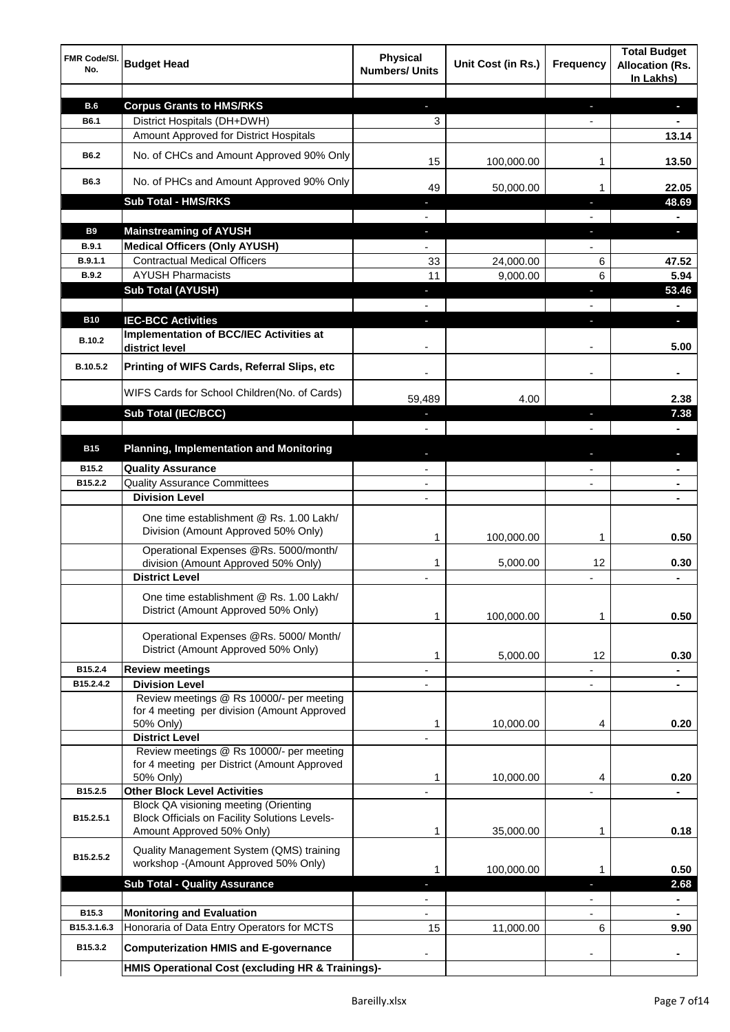| FMR Code/SI.<br>No. | <b>Budget Head</b>                                                                                   | <b>Physical</b><br><b>Numbers/ Units</b> | Unit Cost (in Rs.) | <b>Frequency</b>         | <b>Total Budget</b><br><b>Allocation (Rs.</b><br>In Lakhs) |
|---------------------|------------------------------------------------------------------------------------------------------|------------------------------------------|--------------------|--------------------------|------------------------------------------------------------|
|                     |                                                                                                      |                                          |                    |                          |                                                            |
| <b>B.6</b>          | <b>Corpus Grants to HMS/RKS</b><br>District Hospitals (DH+DWH)                                       | $\mathcal{L}_{\mathcal{A}}$              |                    | ٠                        | $\blacksquare$                                             |
| B6.1                |                                                                                                      | 3                                        |                    | $\overline{\phantom{a}}$ | $\blacksquare$                                             |
|                     | Amount Approved for District Hospitals                                                               |                                          |                    |                          | 13.14                                                      |
| <b>B6.2</b>         | No. of CHCs and Amount Approved 90% Only                                                             | 15                                       | 100,000.00         | 1                        | 13.50                                                      |
| B6.3                | No. of PHCs and Amount Approved 90% Only                                                             | 49                                       | 50,000.00          | 1                        | 22.05                                                      |
|                     | Sub Total - HMS/RKS                                                                                  |                                          |                    | ı                        | 48.69                                                      |
|                     |                                                                                                      | $\overline{\phantom{0}}$                 |                    | $\overline{\phantom{a}}$ | $\blacksquare$                                             |
| <b>B9</b>           | <b>Mainstreaming of AYUSH</b>                                                                        | $\sim$                                   |                    | J,                       | ь.                                                         |
| <b>B.9.1</b>        | <b>Medical Officers (Only AYUSH)</b>                                                                 | $\overline{\phantom{0}}$                 |                    | $\blacksquare$           |                                                            |
| B.9.1.1             | <b>Contractual Medical Officers</b>                                                                  | 33                                       | 24,000.00          | 6                        | 47.52                                                      |
| <b>B.9.2</b>        | <b>AYUSH Pharmacists</b>                                                                             | 11                                       | 9,000.00           | 6                        | 5.94                                                       |
|                     | <b>Sub Total (AYUSH)</b>                                                                             | $\sim$                                   |                    | J,                       | 53.46                                                      |
|                     |                                                                                                      |                                          |                    |                          | $\blacksquare$                                             |
| <b>B10</b>          | <b>IEC-BCC Activities</b>                                                                            | E.                                       |                    | ı                        | $\blacksquare$                                             |
| <b>B.10.2</b>       | Implementation of BCC/IEC Activities at<br>district level                                            |                                          |                    |                          | 5.00                                                       |
| B.10.5.2            | Printing of WIFS Cards, Referral Slips, etc                                                          |                                          |                    |                          | ÷.                                                         |
|                     | WIFS Cards for School Children(No. of Cards)                                                         | 59,489                                   | 4.00               |                          | 2.38                                                       |
|                     | <b>Sub Total (IEC/BCC)</b>                                                                           | ٠                                        |                    | ı                        | 7.38                                                       |
|                     |                                                                                                      |                                          |                    |                          |                                                            |
| <b>B15</b>          | <b>Planning, Implementation and Monitoring</b>                                                       |                                          |                    |                          |                                                            |
| B15.2               | <b>Quality Assurance</b>                                                                             |                                          |                    |                          |                                                            |
| B15.2.2             | <b>Quality Assurance Committees</b>                                                                  |                                          |                    |                          |                                                            |
|                     | <b>Division Level</b>                                                                                |                                          |                    |                          |                                                            |
|                     |                                                                                                      |                                          |                    |                          |                                                            |
|                     | One time establishment @ Rs. 1.00 Lakh/<br>Division (Amount Approved 50% Only)                       | 1                                        | 100,000.00         | 1                        | 0.50                                                       |
|                     | Operational Expenses @Rs. 5000/month/                                                                |                                          |                    |                          |                                                            |
|                     | division (Amount Approved 50% Only)                                                                  | 1                                        | 5,000.00           | 12                       | 0.30                                                       |
|                     | <b>District Level</b>                                                                                | ä,                                       |                    |                          | $\blacksquare$                                             |
|                     | One time establishment @ Rs. 1.00 Lakh/                                                              |                                          |                    |                          |                                                            |
|                     | District (Amount Approved 50% Only)                                                                  |                                          |                    |                          |                                                            |
|                     |                                                                                                      | 1                                        | 100,000.00         |                          | 0.50                                                       |
|                     | Operational Expenses @Rs. 5000/ Month/                                                               |                                          |                    |                          |                                                            |
|                     | District (Amount Approved 50% Only)                                                                  | 1                                        | 5,000.00           | 12                       | 0.30                                                       |
| B15.2.4             | <b>Review meetings</b>                                                                               |                                          |                    |                          |                                                            |
| B15.2.4.2           | <b>Division Level</b>                                                                                |                                          |                    |                          |                                                            |
|                     | Review meetings @ Rs 10000/- per meeting                                                             |                                          |                    |                          |                                                            |
|                     | for 4 meeting per division (Amount Approved                                                          |                                          |                    |                          |                                                            |
|                     | 50% Only)                                                                                            | 1                                        | 10,000.00          | 4                        | 0.20                                                       |
|                     | <b>District Level</b>                                                                                | L,                                       |                    |                          |                                                            |
|                     | Review meetings @ Rs 10000/- per meeting                                                             |                                          |                    |                          |                                                            |
|                     | for 4 meeting per District (Amount Approved                                                          |                                          |                    |                          |                                                            |
|                     | 50% Only)                                                                                            | 1                                        | 10,000.00          | 4                        | 0.20                                                       |
| B15.2.5             | <b>Other Block Level Activities</b>                                                                  |                                          |                    |                          |                                                            |
| B15.2.5.1           | <b>Block QA visioning meeting (Orienting</b><br><b>Block Officials on Facility Solutions Levels-</b> |                                          |                    |                          |                                                            |
|                     | Amount Approved 50% Only)                                                                            | 1                                        | 35,000.00          | 1                        | 0.18                                                       |
|                     |                                                                                                      |                                          |                    |                          |                                                            |
| B15.2.5.2           | Quality Management System (QMS) training<br>workshop -(Amount Approved 50% Only)                     |                                          |                    |                          |                                                            |
|                     |                                                                                                      | 1                                        | 100,000.00         | 1                        | 0.50                                                       |
|                     | <b>Sub Total - Quality Assurance</b>                                                                 |                                          |                    | ٠                        | 2.68                                                       |
|                     |                                                                                                      |                                          |                    |                          |                                                            |
| B <sub>15.3</sub>   | <b>Monitoring and Evaluation</b>                                                                     |                                          |                    | $\overline{\phantom{0}}$ | $\blacksquare$                                             |
| B15.3.1.6.3         | Honoraria of Data Entry Operators for MCTS                                                           | 15                                       | 11,000.00          | 6                        | 9.90                                                       |
| B15.3.2             | <b>Computerization HMIS and E-governance</b>                                                         |                                          |                    |                          |                                                            |
|                     | HMIS Operational Cost (excluding HR & Trainings)-                                                    |                                          |                    |                          |                                                            |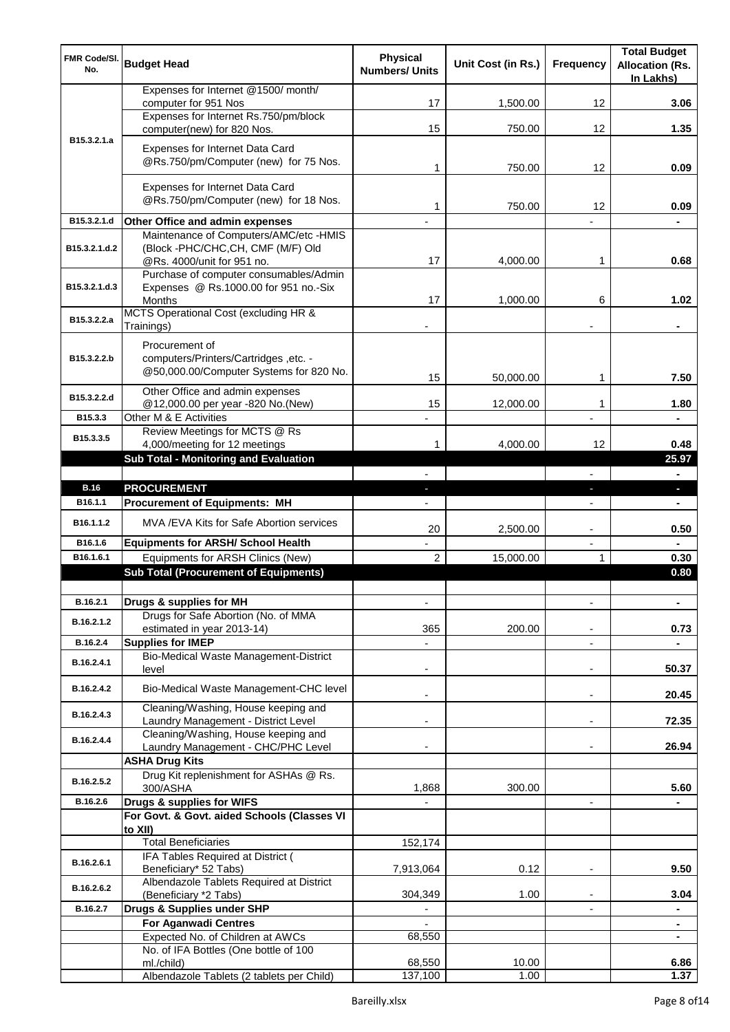| <b>FMR Code/SI.</b><br>No. | <b>Budget Head</b>                                                               | <b>Physical</b><br><b>Numbers/ Units</b> | Unit Cost (in Rs.) | <b>Frequency</b> | <b>Total Budget</b><br><b>Allocation (Rs.</b><br>In Lakhs) |
|----------------------------|----------------------------------------------------------------------------------|------------------------------------------|--------------------|------------------|------------------------------------------------------------|
|                            | Expenses for Internet @1500/month/<br>computer for 951 Nos                       | 17                                       | 1,500.00           | 12               | 3.06                                                       |
|                            | Expenses for Internet Rs.750/pm/block                                            |                                          |                    |                  |                                                            |
| B <sub>15</sub> .3.2.1.a   | computer(new) for 820 Nos.                                                       | 15                                       | 750.00             | 12               | 1.35                                                       |
|                            | Expenses for Internet Data Card<br>@Rs.750/pm/Computer (new) for 75 Nos.         | 1                                        | 750.00             | 12 <sup>2</sup>  | 0.09                                                       |
|                            |                                                                                  |                                          |                    |                  |                                                            |
|                            | Expenses for Internet Data Card<br>@Rs.750/pm/Computer (new) for 18 Nos.         | 1                                        | 750.00             | 12               | 0.09                                                       |
| B15.3.2.1.d                | Other Office and admin expenses                                                  |                                          |                    |                  |                                                            |
| B15.3.2.1.d.2              | Maintenance of Computers/AMC/etc -HMIS<br>(Block -PHC/CHC,CH, CMF (M/F) Old      |                                          |                    |                  |                                                            |
|                            | @Rs. 4000/unit for 951 no.<br>Purchase of computer consumables/Admin             | 17                                       | 4,000.00           | 1                | 0.68                                                       |
| B15.3.2.1.d.3              | Expenses @ Rs.1000.00 for 951 no.-Six                                            |                                          |                    |                  |                                                            |
|                            | <b>Months</b>                                                                    | 17                                       | 1,000.00           | 6                | 1.02                                                       |
| B15.3.2.2.a                | MCTS Operational Cost (excluding HR &<br>Trainings)                              | ٠                                        |                    |                  | $\blacksquare$                                             |
|                            | Procurement of                                                                   |                                          |                    |                  |                                                            |
| B15.3.2.2.b                | computers/Printers/Cartridges, etc. -<br>@50,000.00/Computer Systems for 820 No. |                                          |                    |                  |                                                            |
|                            |                                                                                  | 15                                       | 50,000.00          | 1                | 7.50                                                       |
| B15.3.2.2.d                | Other Office and admin expenses<br>@12,000.00 per year -820 No.(New)             | 15                                       | 12,000.00          | 1                | 1.80                                                       |
| B15.3.3                    | Other M & E Activities                                                           |                                          |                    |                  |                                                            |
| B15.3.3.5                  | Review Meetings for MCTS @ Rs                                                    |                                          |                    |                  |                                                            |
|                            | 4,000/meeting for 12 meetings<br>Sub Total - Monitoring and Evaluation           | 1                                        | 4,000.00           | 12               | 0.48<br>25.97                                              |
|                            |                                                                                  |                                          |                    | L.               | $\blacksquare$                                             |
| <b>B.16</b>                | <b>PROCUREMENT</b>                                                               |                                          |                    |                  | ь                                                          |
| B16.1.1                    | <b>Procurement of Equipments: MH</b>                                             |                                          |                    | $\frac{1}{2}$    | $\blacksquare$                                             |
| B16.1.1.2                  | MVA /EVA Kits for Safe Abortion services                                         | 20                                       | 2,500.00           |                  | 0.50                                                       |
| B16.1.6                    | <b>Equipments for ARSH/ School Health</b>                                        |                                          |                    | Ĭ.               |                                                            |
| B16.1.6.1                  | Equipments for ARSH Clinics (New)                                                | $\overline{2}$                           | 15,000.00          |                  | 0.30                                                       |
|                            | <b>Sub Total (Procurement of Equipments)</b>                                     |                                          |                    |                  | 0.80                                                       |
| B.16.2.1                   | Drugs & supplies for MH                                                          |                                          |                    |                  |                                                            |
| B.16.2.1.2                 | Drugs for Safe Abortion (No. of MMA<br>estimated in year 2013-14)                | 365                                      | 200.00             |                  | 0.73                                                       |
| B.16.2.4                   | <b>Supplies for IMEP</b>                                                         |                                          |                    | ÷,               |                                                            |
| B.16.2.4.1                 | Bio-Medical Waste Management-District<br>level                                   |                                          |                    |                  | 50.37                                                      |
| B.16.2.4.2                 | Bio-Medical Waste Management-CHC level                                           |                                          |                    | Ĭ.               | 20.45                                                      |
| B.16.2.4.3                 | Cleaning/Washing, House keeping and<br>Laundry Management - District Level       |                                          |                    | ۰                | 72.35                                                      |
| B.16.2.4.4                 | Cleaning/Washing, House keeping and<br>Laundry Management - CHC/PHC Level        |                                          |                    |                  | 26.94                                                      |
|                            | <b>ASHA Drug Kits</b>                                                            |                                          |                    |                  |                                                            |
| B.16.2.5.2                 | Drug Kit replenishment for ASHAs @ Rs.<br>300/ASHA                               | 1,868                                    | 300.00             |                  | 5.60                                                       |
| B.16.2.6                   | Drugs & supplies for WIFS                                                        |                                          |                    |                  |                                                            |
|                            | For Govt. & Govt. aided Schools (Classes VI<br>to XII)                           |                                          |                    |                  |                                                            |
|                            | <b>Total Beneficiaries</b>                                                       | 152,174                                  |                    |                  |                                                            |
| B.16.2.6.1                 | IFA Tables Required at District (<br>Beneficiary* 52 Tabs)                       | 7,913,064                                | 0.12               | ۰                | 9.50                                                       |
| B.16.2.6.2                 | Albendazole Tablets Required at District<br>(Beneficiary *2 Tabs)                | 304,349                                  | 1.00               |                  | 3.04                                                       |
| B.16.2.7                   | Drugs & Supplies under SHP                                                       |                                          |                    |                  |                                                            |
|                            | <b>For Aganwadi Centres</b>                                                      |                                          |                    |                  |                                                            |
|                            | Expected No. of Children at AWCs<br>No. of IFA Bottles (One bottle of 100        | 68,550                                   |                    |                  | $\blacksquare$                                             |
|                            | ml./child)                                                                       | 68,550                                   | 10.00              |                  | 6.86                                                       |
|                            | Albendazole Tablets (2 tablets per Child)                                        | 137,100                                  | 1.00               |                  | 1.37                                                       |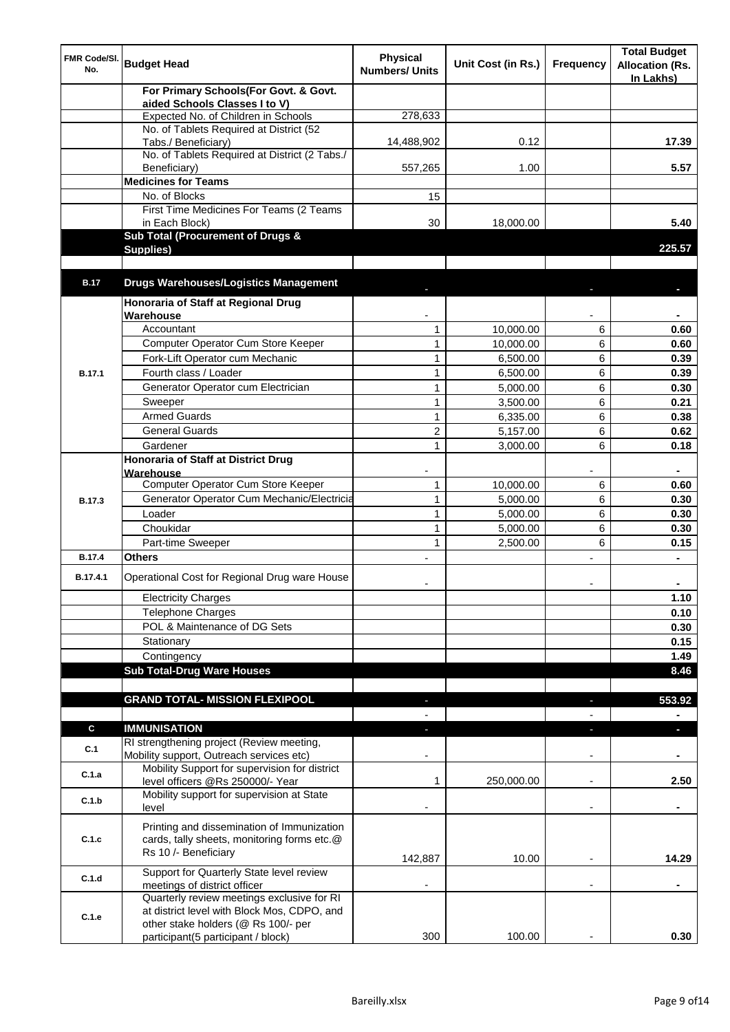| FMR Code/SI.<br>No. | <b>Budget Head</b>                                                                | <b>Physical</b><br><b>Numbers/ Units</b> | Unit Cost (in Rs.) | <b>Frequency</b>         | <b>Total Budget</b><br><b>Allocation (Rs.</b><br>In Lakhs) |
|---------------------|-----------------------------------------------------------------------------------|------------------------------------------|--------------------|--------------------------|------------------------------------------------------------|
|                     | For Primary Schools(For Govt. & Govt.                                             |                                          |                    |                          |                                                            |
|                     | aided Schools Classes I to V)<br>Expected No. of Children in Schools              | 278,633                                  |                    |                          |                                                            |
|                     | No. of Tablets Required at District (52                                           |                                          |                    |                          |                                                            |
|                     | Tabs./ Beneficiary)                                                               | 14,488,902                               | 0.12               |                          | 17.39                                                      |
|                     | No. of Tablets Required at District (2 Tabs./                                     |                                          |                    |                          |                                                            |
|                     | Beneficiary)                                                                      | 557,265                                  | 1.00               |                          | 5.57                                                       |
|                     | <b>Medicines for Teams</b>                                                        |                                          |                    |                          |                                                            |
|                     | No. of Blocks                                                                     | 15                                       |                    |                          |                                                            |
|                     | First Time Medicines For Teams (2 Teams<br>in Each Block)                         | 30                                       | 18.000.00          |                          | 5.40                                                       |
|                     | Sub Total (Procurement of Drugs &                                                 |                                          |                    |                          |                                                            |
|                     | Supplies)                                                                         |                                          |                    |                          | 225.57                                                     |
|                     |                                                                                   |                                          |                    |                          |                                                            |
| <b>B.17</b>         | <b>Drugs Warehouses/Logistics Management</b>                                      |                                          |                    |                          |                                                            |
|                     | Honoraria of Staff at Regional Drug                                               |                                          |                    |                          |                                                            |
|                     | Warehouse                                                                         |                                          |                    |                          |                                                            |
|                     | Accountant                                                                        | $\mathbf{1}$                             | 10,000.00          | 6                        | 0.60                                                       |
|                     | Computer Operator Cum Store Keeper                                                | $\mathbf{1}$                             | 10,000.00          | 6                        | 0.60                                                       |
|                     | Fork-Lift Operator cum Mechanic                                                   | $\mathbf{1}$                             | 6,500.00           | 6                        | 0.39                                                       |
| B.17.1              | Fourth class / Loader                                                             | $\mathbf{1}$                             | 6,500.00           | 6                        | 0.39                                                       |
|                     | Generator Operator cum Electrician                                                | $\mathbf{1}$                             | 5,000.00           | 6                        | 0.30                                                       |
|                     | Sweeper                                                                           | $\mathbf{1}$                             | 3,500.00           | 6                        | 0.21                                                       |
|                     | <b>Armed Guards</b>                                                               | $\mathbf{1}$                             | 6,335.00           | 6                        | 0.38                                                       |
|                     | <b>General Guards</b>                                                             | $\overline{c}$                           | 5,157.00           | 6                        | 0.62                                                       |
|                     | Gardener                                                                          | $\mathbf{1}$                             | 3,000.00           | 6                        | 0.18                                                       |
|                     | <b>Honoraria of Staff at District Drug</b><br>Warehouse                           |                                          |                    |                          |                                                            |
|                     | Computer Operator Cum Store Keeper                                                | $\mathbf{1}$                             | 10,000.00          | 6                        | 0.60                                                       |
| B.17.3              | Generator Operator Cum Mechanic/Electricia                                        | $\mathbf{1}$                             | 5,000.00           | 6                        | 0.30                                                       |
|                     | Loader                                                                            | $\mathbf{1}$                             | 5,000.00           | 6                        | 0.30                                                       |
|                     | Choukidar                                                                         | $\mathbf{1}$                             | 5,000.00           | 6                        | 0.30                                                       |
|                     | Part-time Sweeper                                                                 | $\mathbf{1}$                             | 2,500.00           | 6                        | 0.15                                                       |
| <b>B.17.4</b>       | <b>Others</b>                                                                     |                                          |                    |                          |                                                            |
| B.17.4.1            | Operational Cost for Regional Drug ware House                                     |                                          |                    |                          |                                                            |
|                     | <b>Electricity Charges</b>                                                        |                                          |                    |                          | 1.10                                                       |
|                     | <b>Telephone Charges</b>                                                          |                                          |                    |                          | 0.10                                                       |
|                     | POL & Maintenance of DG Sets                                                      |                                          |                    |                          | 0.30                                                       |
|                     | Stationary                                                                        |                                          |                    |                          | 0.15                                                       |
|                     | Contingency                                                                       |                                          |                    |                          | 1.49                                                       |
|                     | <b>Sub Total-Drug Ware Houses</b>                                                 |                                          |                    |                          | 8.46                                                       |
|                     |                                                                                   |                                          |                    |                          |                                                            |
|                     | <b>GRAND TOTAL- MISSION FLEXIPOOL</b>                                             | ٠                                        |                    | $\blacksquare$           | 553.92                                                     |
| $\mathbf c$         |                                                                                   |                                          |                    |                          | $\blacksquare$                                             |
|                     | <b>IMMUNISATION</b><br>RI strengthening project (Review meeting,                  | ÷.                                       |                    | ÷                        | $\blacksquare$                                             |
| C.1                 | Mobility support, Outreach services etc)                                          |                                          |                    | ٠                        |                                                            |
| C.1.a               | Mobility Support for supervision for district<br>level officers @Rs 250000/- Year | 1                                        | 250,000.00         | $\overline{\phantom{a}}$ | 2.50                                                       |
| C.1.b               | Mobility support for supervision at State                                         |                                          |                    |                          |                                                            |
|                     | level                                                                             |                                          |                    | $\blacksquare$           |                                                            |
|                     | Printing and dissemination of Immunization                                        |                                          |                    |                          |                                                            |
| C.1.c               | cards, tally sheets, monitoring forms etc.@<br>Rs 10 /- Beneficiary               |                                          |                    |                          |                                                            |
|                     | Support for Quarterly State level review                                          | 142,887                                  | 10.00              |                          | 14.29                                                      |
| C.1.d               | meetings of district officer                                                      |                                          |                    |                          |                                                            |
|                     | Quarterly review meetings exclusive for RI                                        |                                          |                    |                          |                                                            |
| C.1.e               | at district level with Block Mos, CDPO, and                                       |                                          |                    |                          |                                                            |
|                     | other stake holders (@ Rs 100/- per                                               | 300                                      | 100.00             |                          |                                                            |
|                     | participant(5 participant / block)                                                |                                          |                    |                          | 0.30                                                       |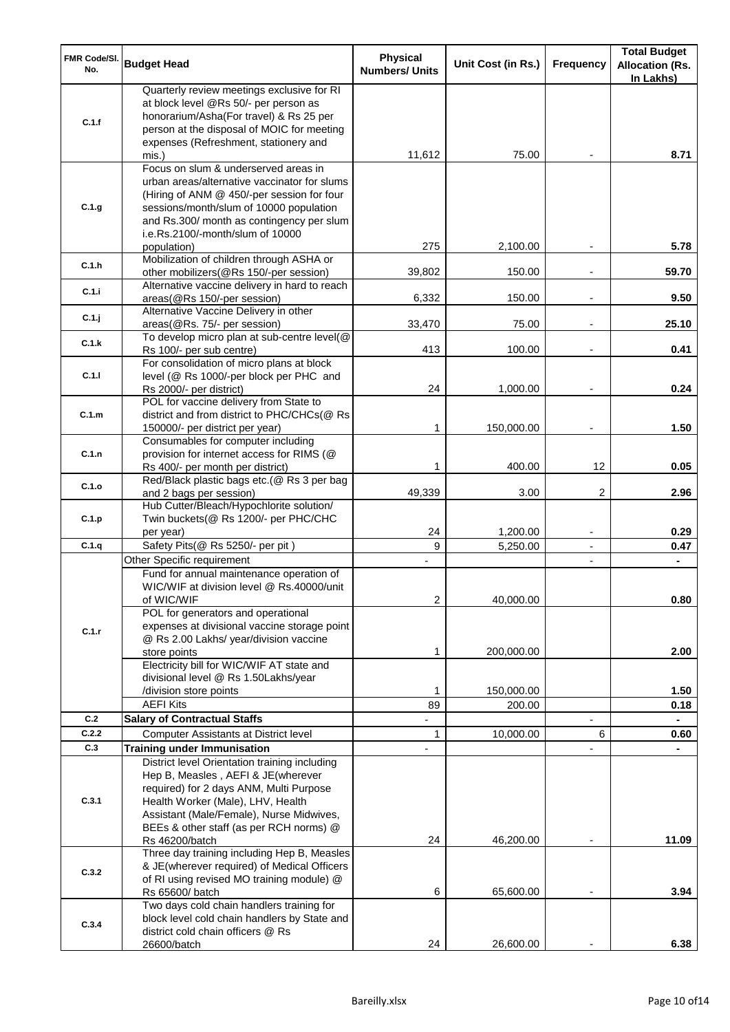| FMR Code/SI.<br>No. | <b>Budget Head</b>                                                                                                                                                                                                                                                            | <b>Physical</b><br><b>Numbers/ Units</b>   | Unit Cost (in Rs.) | <b>Frequency</b>         | <b>Total Budget</b><br><b>Allocation (Rs.</b><br>In Lakhs) |
|---------------------|-------------------------------------------------------------------------------------------------------------------------------------------------------------------------------------------------------------------------------------------------------------------------------|--------------------------------------------|--------------------|--------------------------|------------------------------------------------------------|
| C.1.f               | Quarterly review meetings exclusive for RI<br>at block level @Rs 50/- per person as<br>honorarium/Asha(For travel) & Rs 25 per<br>person at the disposal of MOIC for meeting<br>expenses (Refreshment, stationery and<br>mis.)                                                | 11,612                                     | 75.00              |                          | 8.71                                                       |
| C.1.g               | Focus on slum & underserved areas in<br>urban areas/alternative vaccinator for slums<br>(Hiring of ANM @ 450/-per session for four<br>sessions/month/slum of 10000 population<br>and Rs.300/ month as contingency per slum<br>i.e.Rs.2100/-month/slum of 10000<br>population) | 275                                        | 2,100.00           |                          | 5.78                                                       |
| C.1.h               | Mobilization of children through ASHA or<br>other mobilizers(@Rs 150/-per session)                                                                                                                                                                                            | 39,802                                     | 150.00             |                          | 59.70                                                      |
| C.1.i               | Alternative vaccine delivery in hard to reach<br>areas(@Rs 150/-per session)                                                                                                                                                                                                  | 6,332                                      | 150.00             |                          | 9.50                                                       |
| C.1.j               | Alternative Vaccine Delivery in other<br>areas(@Rs. 75/- per session)                                                                                                                                                                                                         | 33,470                                     | 75.00              |                          | 25.10                                                      |
| C.1.k               | To develop micro plan at sub-centre level(@<br>Rs 100/- per sub centre)                                                                                                                                                                                                       | 413                                        | 100.00             |                          | 0.41                                                       |
| C.1.1               | For consolidation of micro plans at block<br>level (@ Rs 1000/-per block per PHC and<br>Rs 2000/- per district)                                                                                                                                                               | 24                                         | 1,000.00           |                          | 0.24                                                       |
| C.1.m               | POL for vaccine delivery from State to<br>district and from district to PHC/CHCs(@ Rs<br>150000/- per district per year)                                                                                                                                                      | 1                                          | 150,000.00         |                          | 1.50                                                       |
| C.1.n               | Consumables for computer including<br>provision for internet access for RIMS (@<br>Rs 400/- per month per district)                                                                                                                                                           | 1                                          | 400.00             | 12                       | 0.05                                                       |
| C.1.o               | Red/Black plastic bags etc.(@ Rs 3 per bag<br>and 2 bags per session)                                                                                                                                                                                                         | 49,339                                     | 3.00               | 2                        | 2.96                                                       |
| C.1.p               | Hub Cutter/Bleach/Hypochlorite solution/<br>Twin buckets(@ Rs 1200/- per PHC/CHC<br>per year)                                                                                                                                                                                 | 24                                         | 1,200.00           | $\overline{\phantom{0}}$ | 0.29                                                       |
| C.1.q               | Safety Pits(@ Rs 5250/- per pit)                                                                                                                                                                                                                                              | 9                                          | 5,250.00           | $\overline{\phantom{0}}$ | 0.47                                                       |
|                     | Other Specific requirement<br>Fund for annual maintenance operation of<br>WIC/WIF at division level @ Rs.40000/unit<br>of WIC/WIF                                                                                                                                             | $\overline{\phantom{a}}$<br>$\overline{2}$ | 40,000.00          | $\overline{\phantom{a}}$ | $\blacksquare$<br>0.80                                     |
| C.1.r               | POL for generators and operational<br>expenses at divisional vaccine storage point<br>@ Rs 2.00 Lakhs/ year/division vaccine<br>store points<br>Electricity bill for WIC/WIF AT state and<br>divisional level @ Rs 1.50Lakhs/year                                             | 1                                          | 200,000.00         |                          | 2.00                                                       |
|                     | /division store points                                                                                                                                                                                                                                                        | 1                                          | 150,000.00         |                          | 1.50                                                       |
| C.2                 | <b>AEFI Kits</b><br><b>Salary of Contractual Staffs</b>                                                                                                                                                                                                                       | 89                                         | 200.00             |                          | 0.18                                                       |
| C.2.2               | <b>Computer Assistants at District level</b>                                                                                                                                                                                                                                  | $\mathbf{1}$                               | 10,000.00          | 6                        | 0.60                                                       |
| C.3                 | <b>Training under Immunisation</b>                                                                                                                                                                                                                                            |                                            |                    |                          |                                                            |
| C.3.1               | District level Orientation training including<br>Hep B, Measles, AEFI & JE(wherever<br>required) for 2 days ANM, Multi Purpose<br>Health Worker (Male), LHV, Health<br>Assistant (Male/Female), Nurse Midwives,<br>BEEs & other staff (as per RCH norms) @                    | 24                                         | 46,200.00          |                          |                                                            |
| C.3.2               | Rs 46200/batch<br>Three day training including Hep B, Measles<br>& JE(wherever required) of Medical Officers<br>of RI using revised MO training module) @                                                                                                                     | 6                                          |                    |                          | 11.09<br>3.94                                              |
| C.3.4               | Rs 65600/ batch<br>Two days cold chain handlers training for<br>block level cold chain handlers by State and<br>district cold chain officers @ Rs                                                                                                                             |                                            | 65,600.00          |                          |                                                            |
|                     | 26600/batch                                                                                                                                                                                                                                                                   | 24                                         | 26,600.00          |                          | 6.38                                                       |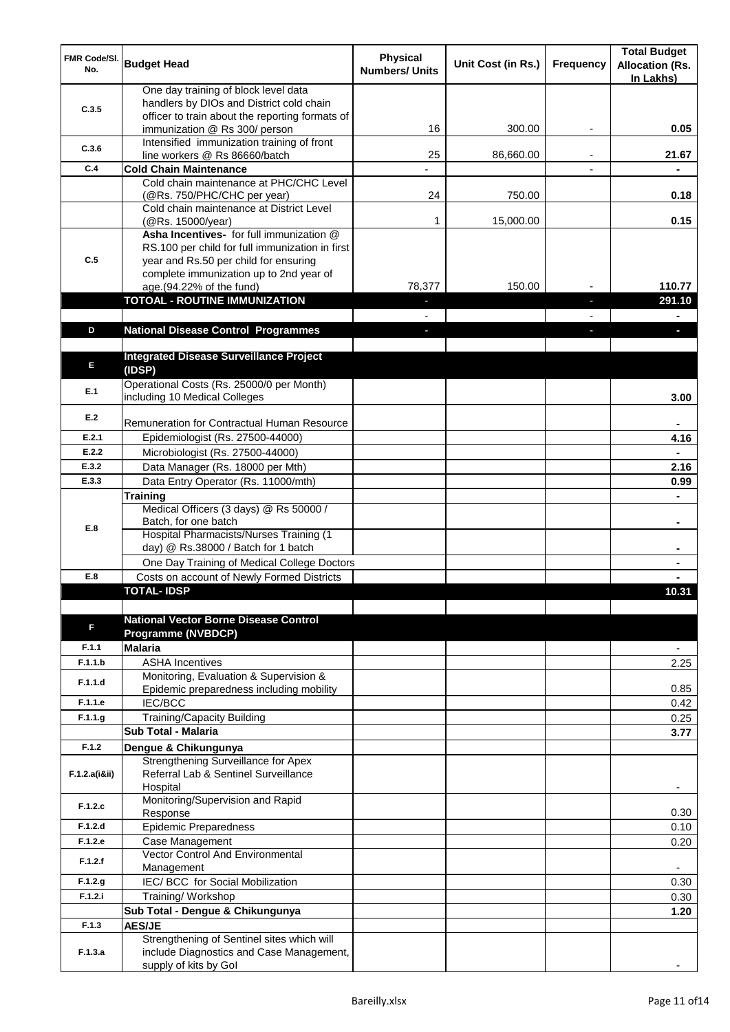| <b>FMR Code/SI.</b><br>No. | <b>Budget Head</b>                                                                                                                  | <b>Physical</b><br><b>Numbers/ Units</b> | Unit Cost (in Rs.) | <b>Frequency</b> | <b>Total Budget</b><br><b>Allocation (Rs.</b><br>In Lakhs) |
|----------------------------|-------------------------------------------------------------------------------------------------------------------------------------|------------------------------------------|--------------------|------------------|------------------------------------------------------------|
| C.3.5                      | One day training of block level data<br>handlers by DIOs and District cold chain<br>officer to train about the reporting formats of |                                          |                    |                  |                                                            |
|                            | immunization @ Rs 300/ person                                                                                                       | 16                                       | 300.00             |                  | 0.05                                                       |
| C.3.6                      | Intensified immunization training of front<br>line workers @ Rs 86660/batch                                                         | 25                                       | 86,660.00          |                  | 21.67                                                      |
| C.4                        | <b>Cold Chain Maintenance</b>                                                                                                       |                                          |                    |                  |                                                            |
|                            | Cold chain maintenance at PHC/CHC Level                                                                                             |                                          |                    |                  |                                                            |
|                            | (@Rs. 750/PHC/CHC per year)<br>Cold chain maintenance at District Level                                                             | 24                                       | 750.00             |                  | 0.18                                                       |
|                            | (@Rs. 15000/year)                                                                                                                   | 1                                        | 15,000.00          |                  | 0.15                                                       |
|                            | Asha Incentives- for full immunization @                                                                                            |                                          |                    |                  |                                                            |
| C.5                        | RS.100 per child for full immunization in first<br>year and Rs.50 per child for ensuring                                            |                                          |                    |                  |                                                            |
|                            | complete immunization up to 2nd year of                                                                                             |                                          |                    |                  |                                                            |
|                            | age.(94.22% of the fund)                                                                                                            | 78,377                                   | 150.00             |                  | 110.77                                                     |
|                            | <b>TOTOAL - ROUTINE IMMUNIZATION</b>                                                                                                |                                          |                    |                  | 291.10                                                     |
| D                          |                                                                                                                                     |                                          |                    |                  |                                                            |
|                            | <b>National Disease Control Programmes</b>                                                                                          |                                          |                    |                  |                                                            |
| E                          | <b>Integrated Disease Surveillance Project</b><br>(IDSP)                                                                            |                                          |                    |                  |                                                            |
| E.1                        | Operational Costs (Rs. 25000/0 per Month)<br>including 10 Medical Colleges                                                          |                                          |                    |                  | 3.00                                                       |
| E.2                        | Remuneration for Contractual Human Resource                                                                                         |                                          |                    |                  |                                                            |
| E.2.1                      | Epidemiologist (Rs. 27500-44000)                                                                                                    |                                          |                    |                  | 4.16                                                       |
| E.2.2                      | Microbiologist (Rs. 27500-44000)                                                                                                    |                                          |                    |                  |                                                            |
| E.3.2                      | Data Manager (Rs. 18000 per Mth)                                                                                                    |                                          |                    |                  | 2.16                                                       |
| E.3.3                      | Data Entry Operator (Rs. 11000/mth)                                                                                                 |                                          |                    |                  | 0.99                                                       |
|                            | Training<br>Medical Officers (3 days) @ Rs 50000 /                                                                                  |                                          |                    |                  |                                                            |
| E.8                        | Batch, for one batch                                                                                                                |                                          |                    |                  | ٠                                                          |
|                            | Hospital Pharmacists/Nurses Training (1                                                                                             |                                          |                    |                  |                                                            |
|                            | day) @ Rs.38000 / Batch for 1 batch                                                                                                 |                                          |                    |                  |                                                            |
| E.8                        | One Day Training of Medical College Doctors<br>Costs on account of Newly Formed Districts                                           |                                          |                    |                  |                                                            |
|                            | TOTAI - IDSP                                                                                                                        |                                          |                    |                  | 10.31                                                      |
|                            |                                                                                                                                     |                                          |                    |                  |                                                            |
| F                          | <b>National Vector Borne Disease Control</b>                                                                                        |                                          |                    |                  |                                                            |
| F.1.1                      | <b>Programme (NVBDCP)</b><br><b>Malaria</b>                                                                                         |                                          |                    |                  | $\overline{\phantom{a}}$                                   |
| F.1.1.b                    | <b>ASHA Incentives</b>                                                                                                              |                                          |                    |                  | 2.25                                                       |
| F.1.1.d                    | Monitoring, Evaluation & Supervision &                                                                                              |                                          |                    |                  |                                                            |
|                            | Epidemic preparedness including mobility                                                                                            |                                          |                    |                  | 0.85                                                       |
| F.1.1.e<br>F.1.1.g         | <b>IEC/BCC</b>                                                                                                                      |                                          |                    |                  | 0.42                                                       |
|                            | Training/Capacity Building<br>Sub Total - Malaria                                                                                   |                                          |                    |                  | 0.25<br>3.77                                               |
| F.1.2                      | Dengue & Chikungunya                                                                                                                |                                          |                    |                  |                                                            |
|                            | Strengthening Surveillance for Apex                                                                                                 |                                          |                    |                  |                                                            |
| F.1.2.a(iⅈ)                | Referral Lab & Sentinel Surveillance<br>Hospital                                                                                    |                                          |                    |                  |                                                            |
| F.1.2.c                    | Monitoring/Supervision and Rapid<br>Response                                                                                        |                                          |                    |                  | 0.30                                                       |
| F.1.2.d                    | <b>Epidemic Preparedness</b>                                                                                                        |                                          |                    |                  | 0.10                                                       |
| F.1.2.e                    | Case Management                                                                                                                     |                                          |                    |                  | 0.20                                                       |
| F.1.2.f                    | <b>Vector Control And Environmental</b><br>Management                                                                               |                                          |                    |                  |                                                            |
| F.1.2.g                    | IEC/ BCC for Social Mobilization                                                                                                    |                                          |                    |                  | 0.30                                                       |
| F.1.2.i                    | Training/Workshop                                                                                                                   |                                          |                    |                  | 0.30                                                       |
|                            | Sub Total - Dengue & Chikungunya                                                                                                    |                                          |                    |                  | 1.20                                                       |
| F.1.3                      | <b>AES/JE</b>                                                                                                                       |                                          |                    |                  |                                                            |
| F.1.3.a                    | Strengthening of Sentinel sites which will<br>include Diagnostics and Case Management,                                              |                                          |                    |                  |                                                            |
|                            | supply of kits by Gol                                                                                                               |                                          |                    |                  |                                                            |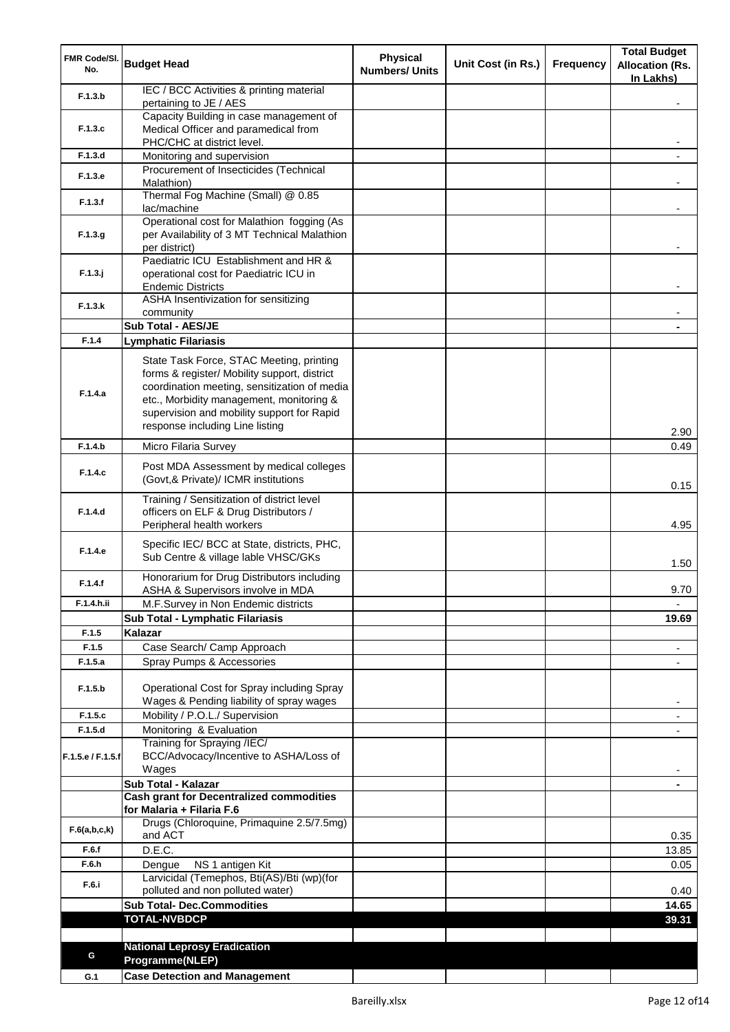| FMR Code/SI.<br>No. | <b>Budget Head</b>                                                                       | <b>Physical</b><br><b>Numbers/ Units</b> | Unit Cost (in Rs.) | <b>Frequency</b> | <b>Total Budget</b><br><b>Allocation (Rs.</b><br>In Lakhs) |
|---------------------|------------------------------------------------------------------------------------------|------------------------------------------|--------------------|------------------|------------------------------------------------------------|
| F.1.3.b             | IEC / BCC Activities & printing material<br>pertaining to JE / AES                       |                                          |                    |                  |                                                            |
|                     | Capacity Building in case management of                                                  |                                          |                    |                  |                                                            |
| F.1.3.c             | Medical Officer and paramedical from                                                     |                                          |                    |                  |                                                            |
| F.1.3.d             | PHC/CHC at district level.<br>Monitoring and supervision                                 |                                          |                    |                  |                                                            |
|                     | Procurement of Insecticides (Technical                                                   |                                          |                    |                  |                                                            |
| F.1.3.e             | Malathion)                                                                               |                                          |                    |                  |                                                            |
| F.1.3.f             | Thermal Fog Machine (Small) @ 0.85<br>lac/machine                                        |                                          |                    |                  |                                                            |
|                     | Operational cost for Malathion fogging (As                                               |                                          |                    |                  |                                                            |
| F.1.3.g             | per Availability of 3 MT Technical Malathion                                             |                                          |                    |                  |                                                            |
|                     | per district)<br>Paediatric ICU Establishment and HR &                                   |                                          |                    |                  |                                                            |
| $F.1.3.$ j          | operational cost for Paediatric ICU in                                                   |                                          |                    |                  |                                                            |
|                     | <b>Endemic Districts</b>                                                                 |                                          |                    |                  |                                                            |
| F.1.3.k             | ASHA Insentivization for sensitizing<br>community                                        |                                          |                    |                  |                                                            |
|                     | Sub Total - AES/JE                                                                       |                                          |                    |                  |                                                            |
| F.1.4               | <b>Lymphatic Filariasis</b>                                                              |                                          |                    |                  |                                                            |
|                     | State Task Force, STAC Meeting, printing                                                 |                                          |                    |                  |                                                            |
|                     | forms & register/ Mobility support, district                                             |                                          |                    |                  |                                                            |
| F.1.4.a             | coordination meeting, sensitization of media<br>etc., Morbidity management, monitoring & |                                          |                    |                  |                                                            |
|                     | supervision and mobility support for Rapid                                               |                                          |                    |                  |                                                            |
|                     | response including Line listing                                                          |                                          |                    |                  | 2.90                                                       |
| F.1.4.b             | Micro Filaria Survey                                                                     |                                          |                    |                  | 0.49                                                       |
| F.1.4.c             | Post MDA Assessment by medical colleges<br>(Govt,& Private)/ ICMR institutions           |                                          |                    |                  | 0.15                                                       |
|                     | Training / Sensitization of district level                                               |                                          |                    |                  |                                                            |
| F.1.4.d             | officers on ELF & Drug Distributors /<br>Peripheral health workers                       |                                          |                    |                  | 4.95                                                       |
| F.1.4.e             | Specific IEC/ BCC at State, districts, PHC,<br>Sub Centre & village lable VHSC/GKs       |                                          |                    |                  | 1.50                                                       |
| F.1.4.f             | Honorarium for Drug Distributors including<br>ASHA & Supervisors involve in MDA          |                                          |                    |                  | 9.70                                                       |
| F.1.4.h.ii          | M.F.Survey in Non Endemic districts                                                      |                                          |                    |                  |                                                            |
|                     | Sub Total - Lymphatic Filariasis                                                         |                                          |                    |                  | 19.69                                                      |
| F.1.5               | Kalazar                                                                                  |                                          |                    |                  |                                                            |
| F.1.5<br>F.1.5.a    | Case Search/ Camp Approach<br>Spray Pumps & Accessories                                  |                                          |                    |                  | $\overline{\phantom{a}}$                                   |
|                     |                                                                                          |                                          |                    |                  |                                                            |
| F.1.5.b             | Operational Cost for Spray including Spray                                               |                                          |                    |                  |                                                            |
|                     | Wages & Pending liability of spray wages                                                 |                                          |                    |                  |                                                            |
| F.1.5.c<br>F.1.5.d  | Mobility / P.O.L./ Supervision<br>Monitoring & Evaluation                                |                                          |                    |                  |                                                            |
|                     | Training for Spraying /IEC/                                                              |                                          |                    |                  |                                                            |
| F.1.5.e / F.1.5.f   | BCC/Advocacy/Incentive to ASHA/Loss of<br>Wages                                          |                                          |                    |                  |                                                            |
|                     | Sub Total - Kalazar                                                                      |                                          |                    |                  |                                                            |
|                     | <b>Cash grant for Decentralized commodities</b>                                          |                                          |                    |                  |                                                            |
|                     | for Malaria + Filaria F.6<br>Drugs (Chloroquine, Primaquine 2.5/7.5mg)                   |                                          |                    |                  |                                                            |
| F.6(a,b,c,k)        | and ACT                                                                                  |                                          |                    |                  | 0.35                                                       |
| F.6.f               | D.E.C.                                                                                   |                                          |                    |                  | 13.85                                                      |
| F.6.h               | NS 1 antigen Kit<br>Dengue                                                               |                                          |                    |                  | 0.05                                                       |
| F.6.i               | Larvicidal (Temephos, Bti(AS)/Bti (wp)(for<br>polluted and non polluted water)           |                                          |                    |                  | 0.40                                                       |
|                     | <b>Sub Total- Dec.Commodities</b>                                                        |                                          |                    |                  | 14.65                                                      |
|                     | <b>TOTAL-NVBDCP</b>                                                                      |                                          |                    |                  | 39.31                                                      |
|                     |                                                                                          |                                          |                    |                  |                                                            |
| G                   | <b>National Leprosy Eradication</b><br>Programme(NLEP)                                   |                                          |                    |                  |                                                            |
| G.1                 | <b>Case Detection and Management</b>                                                     |                                          |                    |                  |                                                            |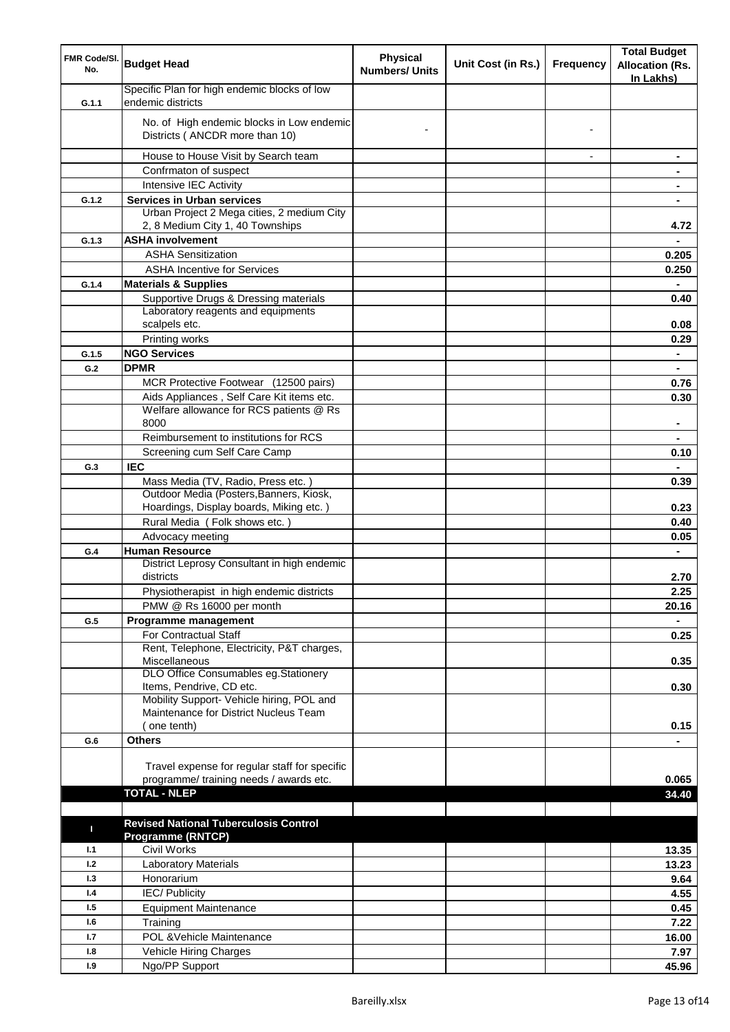| FMR Code/SI.<br>No. | <b>Budget Head</b>                                                                 | <b>Physical</b><br><b>Numbers/ Units</b> | Unit Cost (in Rs.) | <b>Frequency</b>         | <b>Total Budget</b><br><b>Allocation (Rs.</b><br>In Lakhs) |
|---------------------|------------------------------------------------------------------------------------|------------------------------------------|--------------------|--------------------------|------------------------------------------------------------|
| G.1.1               | Specific Plan for high endemic blocks of low<br>endemic districts                  |                                          |                    |                          |                                                            |
|                     | No. of High endemic blocks in Low endemic<br>Districts (ANCDR more than 10)        |                                          |                    |                          |                                                            |
|                     | House to House Visit by Search team                                                |                                          |                    | $\overline{\phantom{a}}$ | $\blacksquare$                                             |
|                     | Confrmaton of suspect                                                              |                                          |                    |                          | ۰                                                          |
|                     | Intensive IEC Activity                                                             |                                          |                    |                          | $\blacksquare$                                             |
| G.1.2               | <b>Services in Urban services</b>                                                  |                                          |                    |                          | ٠                                                          |
|                     | Urban Project 2 Mega cities, 2 medium City<br>2, 8 Medium City 1, 40 Townships     |                                          |                    |                          | 4.72                                                       |
| G.1.3               | <b>ASHA involvement</b>                                                            |                                          |                    |                          |                                                            |
|                     | <b>ASHA Sensitization</b>                                                          |                                          |                    |                          | 0.205                                                      |
|                     | <b>ASHA Incentive for Services</b>                                                 |                                          |                    |                          | 0.250                                                      |
| G.1.4               | <b>Materials &amp; Supplies</b>                                                    |                                          |                    |                          |                                                            |
|                     | Supportive Drugs & Dressing materials                                              |                                          |                    |                          | 0.40                                                       |
|                     | Laboratory reagents and equipments<br>scalpels etc.                                |                                          |                    |                          | 0.08                                                       |
|                     |                                                                                    |                                          |                    |                          |                                                            |
|                     | Printing works                                                                     |                                          |                    |                          | 0.29                                                       |
| G.1.5<br>G.2        | <b>NGO Services</b><br><b>DPMR</b>                                                 |                                          |                    |                          | $\blacksquare$                                             |
|                     |                                                                                    |                                          |                    |                          | $\blacksquare$                                             |
|                     | MCR Protective Footwear (12500 pairs)<br>Aids Appliances, Self Care Kit items etc. |                                          |                    |                          | 0.76<br>0.30                                               |
|                     | Welfare allowance for RCS patients @ Rs                                            |                                          |                    |                          |                                                            |
|                     | 8000                                                                               |                                          |                    |                          |                                                            |
|                     | Reimbursement to institutions for RCS                                              |                                          |                    |                          |                                                            |
|                     | Screening cum Self Care Camp                                                       |                                          |                    |                          | 0.10                                                       |
| G.3                 | <b>IEC</b>                                                                         |                                          |                    |                          |                                                            |
|                     | Mass Media (TV, Radio, Press etc.)                                                 |                                          |                    |                          | 0.39                                                       |
|                     | Outdoor Media (Posters, Banners, Kiosk,                                            |                                          |                    |                          |                                                            |
|                     | Hoardings, Display boards, Miking etc.)                                            |                                          |                    |                          | 0.23                                                       |
|                     | Rural Media (Folk shows etc.)                                                      |                                          |                    |                          | 0.40                                                       |
|                     | Advocacy meeting                                                                   |                                          |                    |                          | 0.05                                                       |
| G.4                 | <b>Human Resource</b>                                                              |                                          |                    |                          | $\blacksquare$                                             |
|                     | District Leprosy Consultant in high endemic<br>districts                           |                                          |                    |                          | 2.70                                                       |
|                     | Physiotherapist in high endemic districts                                          |                                          |                    |                          | 2.25                                                       |
|                     | PMW @ Rs 16000 per month                                                           |                                          |                    |                          | 20.16                                                      |
| G.5                 | Programme management                                                               |                                          |                    |                          |                                                            |
|                     | For Contractual Staff                                                              |                                          |                    |                          | 0.25                                                       |
|                     | Rent, Telephone, Electricity, P&T charges,                                         |                                          |                    |                          |                                                            |
|                     | Miscellaneous                                                                      |                                          |                    |                          | 0.35                                                       |
|                     | DLO Office Consumables eg.Stationery<br>Items, Pendrive, CD etc.                   |                                          |                    |                          | 0.30                                                       |
|                     | Mobility Support- Vehicle hiring, POL and                                          |                                          |                    |                          |                                                            |
|                     | Maintenance for District Nucleus Team                                              |                                          |                    |                          |                                                            |
|                     | (one tenth)                                                                        |                                          |                    |                          | 0.15                                                       |
| G.6                 | <b>Others</b>                                                                      |                                          |                    |                          |                                                            |
|                     |                                                                                    |                                          |                    |                          |                                                            |
|                     | Travel expense for regular staff for specific                                      |                                          |                    |                          |                                                            |
|                     | programme/ training needs / awards etc.                                            |                                          |                    |                          | 0.065                                                      |
|                     | <b>TOTAL - NLEP</b>                                                                |                                          |                    |                          | 34.40                                                      |
|                     |                                                                                    |                                          |                    |                          |                                                            |
| п                   | <b>Revised National Tuberculosis Control</b><br><b>Programme (RNTCP)</b>           |                                          |                    |                          |                                                            |
| 1.1                 | Civil Works                                                                        |                                          |                    |                          | 13.35                                                      |
| 1.2                 | Laboratory Materials                                                               |                                          |                    |                          | 13.23                                                      |
| 1.3                 | Honorarium                                                                         |                                          |                    |                          | 9.64                                                       |
| 1.4                 | <b>IEC/Publicity</b>                                                               |                                          |                    |                          | 4.55                                                       |
| 1.5                 | <b>Equipment Maintenance</b>                                                       |                                          |                    |                          | 0.45                                                       |
| 1.6                 | Training                                                                           |                                          |                    |                          | 7.22                                                       |
| 1.7                 | POL & Vehicle Maintenance                                                          |                                          |                    |                          | 16.00                                                      |
| 1.8                 | Vehicle Hiring Charges                                                             |                                          |                    |                          | 7.97                                                       |
| 1.9                 | Ngo/PP Support                                                                     |                                          |                    |                          | 45.96                                                      |